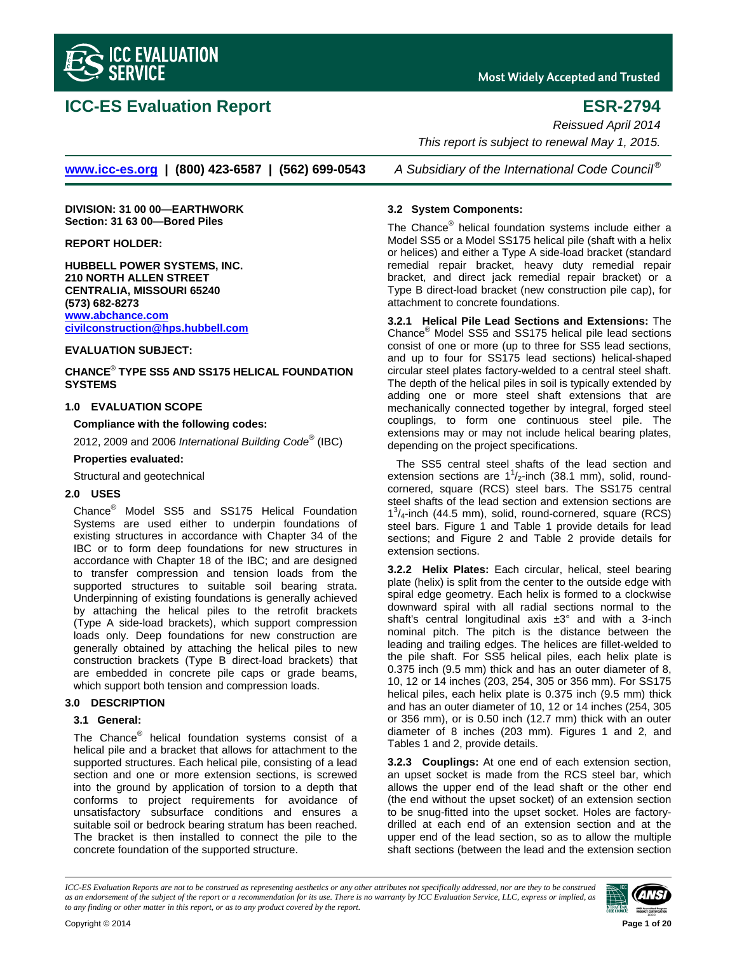

# **ICC-ES Evaluation Report ESR-2794**

**Most Widely Accepted and Trusted** 

*Reissued April 2014* 

 *This report is subject to renewal May 1, 2015.* 

**www.icc-es.org | (800) 423-6587 | (562) 699-0543** *A Subsidiary of the International Code Council ®*

**DIVISION: 31 00 00—EARTHWORK Section: 31 63 00—Bored Piles** 

**REPORT HOLDER:** 

**HUBBELL POWER SYSTEMS, INC. 210 NORTH ALLEN STREET CENTRALIA, MISSOURI 65240 (573) 682-8273 www.abchance.com civilconstruction@hps.hubbell.com**

#### **EVALUATION SUBJECT:**

**CHANCE**®  **TYPE SS5 AND SS175 HELICAL FOUNDATION SYSTEMS** 

#### **1.0 EVALUATION SCOPE**

**Compliance with the following codes:**

2012, 2009 and 2006 *International Building Code*® (IBC)

#### **Properties evaluated:**

Structural and geotechnical

#### **2.0 USES**

Chance® Model SS5 and SS175 Helical Foundation Systems are used either to underpin foundations of existing structures in accordance with Chapter 34 of the IBC or to form deep foundations for new structures in accordance with Chapter 18 of the IBC; and are designed to transfer compression and tension loads from the supported structures to suitable soil bearing strata. Underpinning of existing foundations is generally achieved by attaching the helical piles to the retrofit brackets (Type A side-load brackets), which support compression loads only. Deep foundations for new construction are generally obtained by attaching the helical piles to new construction brackets (Type B direct-load brackets) that are embedded in concrete pile caps or grade beams, which support both tension and compression loads.

#### **3.0 DESCRIPTION**

#### **3.1 General:**

The Chance® helical foundation systems consist of a helical pile and a bracket that allows for attachment to the supported structures. Each helical pile, consisting of a lead section and one or more extension sections, is screwed into the ground by application of torsion to a depth that conforms to project requirements for avoidance of unsatisfactory subsurface conditions and ensures a suitable soil or bedrock bearing stratum has been reached. The bracket is then installed to connect the pile to the concrete foundation of the supported structure.

#### **3.2 System Components:**

The Chance® helical foundation systems include either a Model SS5 or a Model SS175 helical pile (shaft with a helix or helices) and either a Type A side-load bracket (standard remedial repair bracket, heavy duty remedial repair bracket, and direct jack remedial repair bracket) or a Type B direct-load bracket (new construction pile cap), for attachment to concrete foundations.

**3.2.1 Helical Pile Lead Sections and Extensions:** The Chance® Model SS5 and SS175 helical pile lead sections consist of one or more (up to three for SS5 lead sections, and up to four for SS175 lead sections) helical-shaped circular steel plates factory-welded to a central steel shaft. The depth of the helical piles in soil is typically extended by adding one or more steel shaft extensions that are mechanically connected together by integral, forged steel couplings, to form one continuous steel pile. The extensions may or may not include helical bearing plates, depending on the project specifications.

The SS5 central steel shafts of the lead section and extension sections are  $1^1/2$ -inch (38.1 mm), solid, roundcornered, square (RCS) steel bars. The SS175 central steel shafts of the lead section and extension sections are  $1<sup>3</sup>/4$ -inch (44.5 mm), solid, round-cornered, square (RCS) steel bars. Figure 1 and Table 1 provide details for lead sections; and Figure 2 and Table 2 provide details for extension sections.

**3.2.2 Helix Plates:** Each circular, helical, steel bearing plate (helix) is split from the center to the outside edge with spiral edge geometry. Each helix is formed to a clockwise downward spiral with all radial sections normal to the shaft's central longitudinal axis  $\pm 3^\circ$  and with a 3-inch nominal pitch. The pitch is the distance between the leading and trailing edges. The helices are fillet-welded to the pile shaft. For SS5 helical piles, each helix plate is 0.375 inch (9.5 mm) thick and has an outer diameter of 8, 10, 12 or 14 inches (203, 254, 305 or 356 mm). For SS175 helical piles, each helix plate is 0.375 inch (9.5 mm) thick and has an outer diameter of 10, 12 or 14 inches (254, 305 or 356 mm), or is 0.50 inch (12.7 mm) thick with an outer diameter of 8 inches (203 mm). Figures 1 and 2, and Tables 1 and 2, provide details.

**3.2.3 Couplings:** At one end of each extension section, an upset socket is made from the RCS steel bar, which allows the upper end of the lead shaft or the other end (the end without the upset socket) of an extension section to be snug-fitted into the upset socket. Holes are factorydrilled at each end of an extension section and at the upper end of the lead section, so as to allow the multiple shaft sections (between the lead and the extension section

*ICC-ES Evaluation Reports are not to be construed as representing aesthetics or any other attributes not specifically addressed, nor are they to be construed as an endorsement of the subject of the report or a recommendation for its use. There is no warranty by ICC Evaluation Service, LLC, express or implied, as to any finding or other matter in this report, or as to any product covered by the report.*



Copyright © 2014 **Page 1 of 20**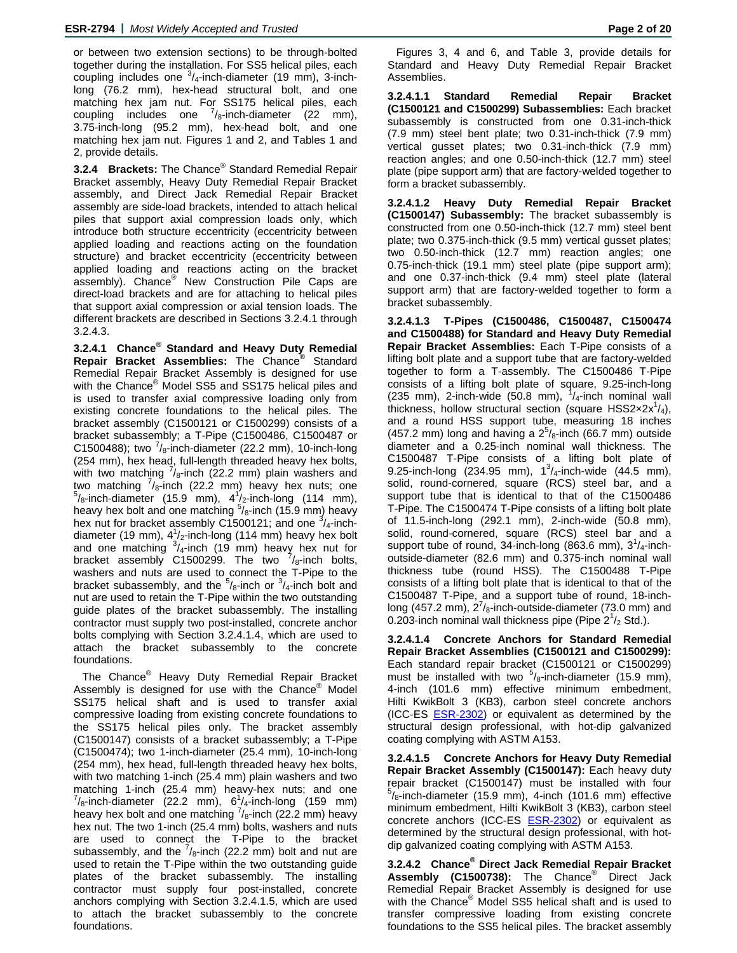or between two extension sections) to be through-bolted together during the installation. For SS5 helical piles, each coupling includes one  $3/4$ -inch-diameter (19 mm), 3-inchlong (76.2 mm), hex-head structural bolt, and one matching hex jam nut. For SS175 helical piles, each coupling includes one  $\frac{7}{8}$ -inch-diameter (22 mm), 3.75-inch-long (95.2 mm), hex-head bolt, and one matching hex jam nut. Figures 1 and 2, and Tables 1 and 2, provide details.

**3.2.4 Brackets:** The Chance® Standard Remedial Repair Bracket assembly, Heavy Duty Remedial Repair Bracket assembly, and Direct Jack Remedial Repair Bracket assembly are side-load brackets, intended to attach helical piles that support axial compression loads only, which introduce both structure eccentricity (eccentricity between applied loading and reactions acting on the foundation structure) and bracket eccentricity (eccentricity between applied loading and reactions acting on the bracket assembly). Chance® New Construction Pile Caps are direct-load brackets and are for attaching to helical piles that support axial compression or axial tension loads. The different brackets are described in Sections 3.2.4.1 through 3.2.4.3.

**3.2.4.1 Chance® Standard and Heavy Duty Remedial Repair Bracket Assemblies:** The Chance® Standard Remedial Repair Bracket Assembly is designed for use with the Chance® Model SS5 and SS175 helical piles and is used to transfer axial compressive loading only from existing concrete foundations to the helical piles. The bracket assembly (C1500121 or C1500299) consists of a bracket subassembly; a T-Pipe (C1500486, C1500487 or C1500488); two  $\frac{7}{8}$ -inch-diameter (22.2 mm), 10-inch-long (254 mm), hex head, full-length threaded heavy hex bolts, with two matching  $\frac{7}{8}$ -inch (22.2 mm) plain washers and two matching  $\frac{7}{8}$ -inch (22.2 mm) heavy hex nuts; one  $\gamma_8$ -inch-diameter (15.9 mm), 4<sup>1</sup>/<sub>2</sub>-inch-long (114 mm), heavy hex bolt and one matching  $\sqrt[5]{\overline{s}}$ -inch (15.9 mm) heavy hex nut for bracket assembly C1500121; and one  $\frac{3}{4}$ -inchdiameter (19 mm),  $4^{1}/_{2}$ -inch-long (114 mm) heavy hex bolt and one matching  $\frac{3}{4}$ -inch (19 mm) heavy hex nut for bracket assembly C1500299. The two  $\frac{7}{8}$ -inch bolts, washers and nuts are used to connect the T-Pipe to the bracket subassembly, and the  $5/8$ -inch or  $3/4$ -inch bolt and nut are used to retain the T-Pipe within the two outstanding guide plates of the bracket subassembly. The installing contractor must supply two post-installed, concrete anchor bolts complying with Section 3.2.4.1.4, which are used to attach the bracket subassembly to the concrete foundations.

The Chance® Heavy Duty Remedial Repair Bracket Assembly is designed for use with the Chance<sup>®</sup> Model SS175 helical shaft and is used to transfer axial compressive loading from existing concrete foundations to the SS175 helical piles only. The bracket assembly (C1500147) consists of a bracket subassembly; a T-Pipe (C1500474); two 1-inch-diameter (25.4 mm), 10-inch-long (254 mm), hex head, full-length threaded heavy hex bolts, with two matching 1-inch (25.4 mm) plain washers and two matching 1-inch (25.4 mm) heavy-hex nuts; and one  $^{7}/_{8}$ -inch-diameter (22.2 mm), 6<sup>1</sup>/<sub>4</sub>-inch-long (159 mm) heavy hex bolt and one matching  $\frac{7}{8}$ -inch (22.2 mm) heavy hex nut. The two 1-inch (25.4 mm) bolts, washers and nuts are used to connect the T-Pipe to the bracket subassembly, and the  $\frac{7}{8}$ -inch (22.2 mm) bolt and nut are used to retain the T-Pipe within the two outstanding guide plates of the bracket subassembly. The installing contractor must supply four post-installed, concrete anchors complying with Section 3.2.4.1.5, which are used to attach the bracket subassembly to the concrete foundations.

**3.2.4.1.1 Standard Remedial Repair Bracket (C1500121 and C1500299) Subassemblies:** Each bracket subassembly is constructed from one 0.31-inch-thick (7.9 mm) steel bent plate; two 0.31-inch-thick (7.9 mm) vertical gusset plates; two 0.31-inch-thick (7.9 mm) reaction angles; and one 0.50-inch-thick (12.7 mm) steel plate (pipe support arm) that are factory-welded together to form a bracket subassembly.

**3.2.4.1.2 Heavy Duty Remedial Repair Bracket (C1500147) Subassembly:** The bracket subassembly is constructed from one 0.50-inch-thick (12.7 mm) steel bent plate; two 0.375-inch-thick (9.5 mm) vertical gusset plates; two 0.50-inch-thick (12.7 mm) reaction angles; one 0.75-inch-thick (19.1 mm) steel plate (pipe support arm); and one 0.37-inch-thick (9.4 mm) steel plate (lateral support arm) that are factory-welded together to form a bracket subassembly.

**3.2.4.1.3 T-Pipes (C1500486, C1500487, C1500474 and C1500488) for Standard and Heavy Duty Remedial Repair Bracket Assemblies:** Each T-Pipe consists of a lifting bolt plate and a support tube that are factory-welded together to form a T-assembly. The C1500486 T-Pipe consists of a lifting bolt plate of square, 9.25-inch-long (235 mm), 2-inch-wide (50.8 mm),  $1/4$ -inch nominal wall thickness, hollow structural section (square  $HSS2\times2x^1/4$ ), and a round HSS support tube, measuring 18 inches (457.2 mm) long and having a  $2^5$ / $_8$ -inch (66.7 mm) outside diameter and a 0.25-inch nominal wall thickness. The C1500487 T-Pipe consists of a lifting bolt plate of 9.25-inch-long  $(234.95 \text{ mm})$ ,  $1^{3}/_{4}$ -inch-wide  $(44.5 \text{ mm})$ , solid, round-cornered, square (RCS) steel bar, and a support tube that is identical to that of the C1500486 T-Pipe. The C1500474 T-Pipe consists of a lifting bolt plate of 11.5-inch-long (292.1 mm), 2-inch-wide (50.8 mm), solid, round-cornered, square (RCS) steel bar and a support tube of round, 34-inch-long (863.6 mm),  $3^{1}/_{4}$ -inchoutside-diameter (82.6 mm) and 0.375-inch nominal wall thickness tube (round HSS). The C1500488 T-Pipe consists of a lifting bolt plate that is identical to that of the C1500487 T-Pipe, and a support tube of round, 18-inchlong (457.2 mm),  $2^7$ / $_8$ -inch-outside-diameter (73.0 mm) and 0.203-inch nominal wall thickness pipe (Pipe  $2^{1/2}$  Std.).

**3.2.4.1.4 Concrete Anchors for Standard Remedial Repair Bracket Assemblies (C1500121 and C1500299):**  Each standard repair bracket (C1500121 or C1500299) must be installed with two  $5/8$ -inch-diameter (15.9 mm), 4-inch (101.6 mm) effective minimum embedment, Hilti KwikBolt 3 (KB3), carbon steel concrete anchors (ICC-ES **ESR-2302)** or equivalent as determined by the structural design professional, with hot-dip galvanized coating complying with ASTM A153.

**3.2.4.1.5 Concrete Anchors for Heavy Duty Remedial Repair Bracket Assembly (C1500147):** Each heavy duty repair bracket (C1500147) must be installed with four  $5/8$ -inch-diameter (15.9 mm), 4-inch (101.6 mm) effective minimum embedment, Hilti KwikBolt 3 (KB3), carbon steel concrete anchors (ICC-ES **ESR-2302)** or equivalent as determined by the structural design professional, with hotdip galvanized coating complying with ASTM A153.

**3.2.4.2 Chance® Direct Jack Remedial Repair Bracket Assembly (C1500738):** The Chance® Direct Jack Remedial Repair Bracket Assembly is designed for use with the Chance® Model SS5 helical shaft and is used to transfer compressive loading from existing concrete foundations to the SS5 helical piles. The bracket assembly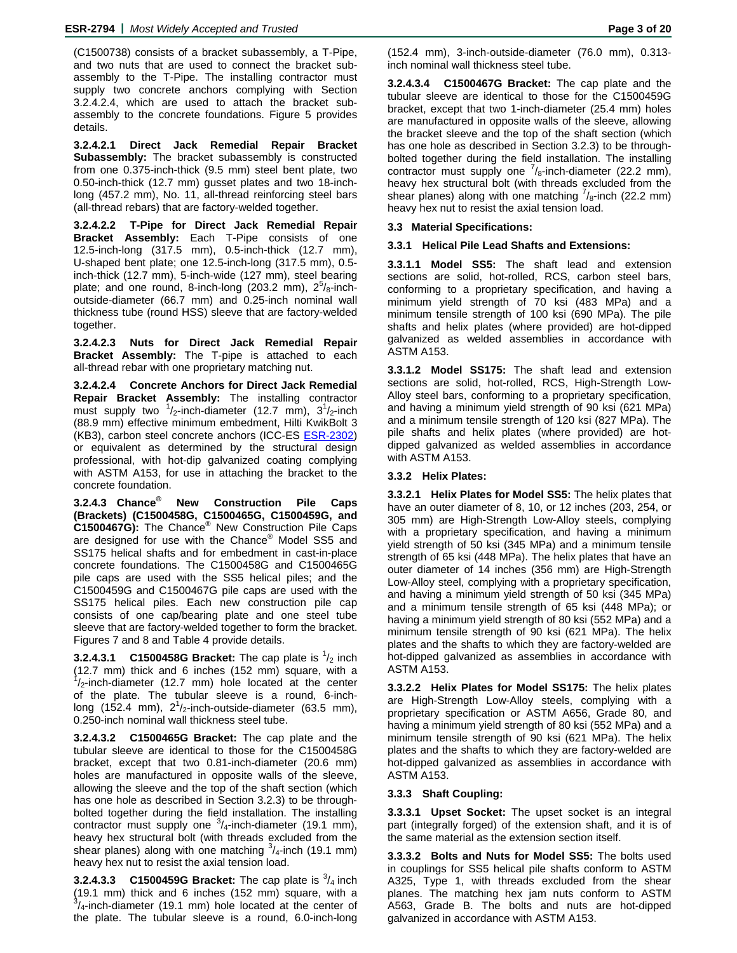(C1500738) consists of a bracket subassembly, a T-Pipe, and two nuts that are used to connect the bracket subassembly to the T-Pipe. The installing contractor must supply two concrete anchors complying with Section 3.2.4.2.4, which are used to attach the bracket subassembly to the concrete foundations. Figure 5 provides details.

**3.2.4.2.1 Direct Jack Remedial Repair Bracket Subassembly:** The bracket subassembly is constructed from one 0.375-inch-thick (9.5 mm) steel bent plate, two 0.50-inch-thick (12.7 mm) gusset plates and two 18-inchlong (457.2 mm), No. 11, all-thread reinforcing steel bars (all-thread rebars) that are factory-welded together.

**3.2.4.2.2 T-Pipe for Direct Jack Remedial Repair Bracket Assembly:** Each T-Pipe consists of one 12.5-inch-long (317.5 mm), 0.5-inch-thick (12.7 mm), U-shaped bent plate; one 12.5-inch-long (317.5 mm), 0.5 inch-thick (12.7 mm), 5-inch-wide (127 mm), steel bearing plate; and one round, 8-inch-long (203.2 mm),  $2^5$ / $_8$ -inchoutside-diameter (66.7 mm) and 0.25-inch nominal wall thickness tube (round HSS) sleeve that are factory-welded together.

**3.2.4.2.3 Nuts for Direct Jack Remedial Repair Bracket Assembly:** The T-pipe is attached to each all-thread rebar with one proprietary matching nut.

**3.2.4.2.4 Concrete Anchors for Direct Jack Remedial Repair Bracket Assembly:** The installing contractor must supply two  $\frac{1}{2}$ -inch-diameter (12.7 mm),  $3\frac{1}{2}$ -inch (88.9 mm) effective minimum embedment, Hilti KwikBolt 3 (KB3), carbon steel concrete anchors (ICC-ES ESR-2302) or equivalent as determined by the structural design professional, with hot-dip galvanized coating complying with ASTM A153, for use in attaching the bracket to the concrete foundation.

**3.2.4.3 Chance® New Construction Pile Caps (Brackets) (C1500458G, C1500465G, C1500459G, and C1500467G):** The Chance® New Construction Pile Caps are designed for use with the Chance® Model SS5 and SS175 helical shafts and for embedment in cast-in-place concrete foundations. The C1500458G and C1500465G pile caps are used with the SS5 helical piles; and the C1500459G and C1500467G pile caps are used with the SS175 helical piles. Each new construction pile cap consists of one cap/bearing plate and one steel tube sleeve that are factory-welded together to form the bracket. Figures 7 and 8 and Table 4 provide details.

**3.2.4.3.1 C1500458G Bracket:** The cap plate is  $\frac{1}{2}$  inch (12.7 mm) thick and 6 inches (152 mm) square, with a  $1/2$ -inch-diameter (12.7 mm) hole located at the center of the plate. The tubular sleeve is a round, 6-inchlong (152.4 mm),  $2^1/2$ -inch-outside-diameter (63.5 mm), 0.250-inch nominal wall thickness steel tube.

**3.2.4.3.2 C1500465G Bracket:** The cap plate and the tubular sleeve are identical to those for the C1500458G bracket, except that two 0.81-inch-diameter (20.6 mm) holes are manufactured in opposite walls of the sleeve, allowing the sleeve and the top of the shaft section (which has one hole as described in Section 3.2.3) to be throughbolted together during the field installation. The installing contractor must supply one  $3/4$ -inch-diameter (19.1 mm), heavy hex structural bolt (with threads excluded from the shear planes) along with one matching  $\frac{3}{4}$ -inch (19.1 mm) heavy hex nut to resist the axial tension load.

**3.2.4.3.3 C1500459G Bracket:** The cap plate is  $\frac{3}{4}$  inch (19.1 mm) thick and 6 inches (152 mm) square, with a 3 /4-inch-diameter (19.1 mm) hole located at the center of the plate. The tubular sleeve is a round, 6.0-inch-long

(152.4 mm), 3-inch-outside-diameter (76.0 mm), 0.313 inch nominal wall thickness steel tube.

**3.2.4.3.4 C1500467G Bracket:** The cap plate and the tubular sleeve are identical to those for the C1500459G bracket, except that two 1-inch-diameter (25.4 mm) holes are manufactured in opposite walls of the sleeve, allowing the bracket sleeve and the top of the shaft section (which has one hole as described in Section 3.2.3) to be throughbolted together during the field installation. The installing contractor must supply one  $\frac{7}{8}$ -inch-diameter (22.2 mm), heavy hex structural bolt (with threads excluded from the shear planes) along with one matching  $\frac{7}{8}$ -inch (22.2 mm) heavy hex nut to resist the axial tension load.

#### **3.3 Material Specifications:**

#### **3.3.1 Helical Pile Lead Shafts and Extensions:**

**3.3.1.1 Model SS5:** The shaft lead and extension sections are solid, hot-rolled, RCS, carbon steel bars, conforming to a proprietary specification, and having a minimum yield strength of 70 ksi (483 MPa) and a minimum tensile strength of 100 ksi (690 MPa). The pile shafts and helix plates (where provided) are hot-dipped galvanized as welded assemblies in accordance with ASTM A153.

**3.3.1.2 Model SS175:** The shaft lead and extension sections are solid, hot-rolled, RCS, High-Strength Low-Alloy steel bars, conforming to a proprietary specification, and having a minimum yield strength of 90 ksi (621 MPa) and a minimum tensile strength of 120 ksi (827 MPa). The pile shafts and helix plates (where provided) are hotdipped galvanized as welded assemblies in accordance with ASTM A153.

#### **3.3.2 Helix Plates:**

**3.3.2.1 Helix Plates for Model SS5:** The helix plates that have an outer diameter of 8, 10, or 12 inches (203, 254, or 305 mm) are High-Strength Low-Alloy steels, complying with a proprietary specification, and having a minimum yield strength of 50 ksi (345 MPa) and a minimum tensile strength of 65 ksi (448 MPa). The helix plates that have an outer diameter of 14 inches (356 mm) are High-Strength Low-Alloy steel, complying with a proprietary specification, and having a minimum yield strength of 50 ksi (345 MPa) and a minimum tensile strength of 65 ksi (448 MPa); or having a minimum yield strength of 80 ksi (552 MPa) and a minimum tensile strength of 90 ksi (621 MPa). The helix plates and the shafts to which they are factory-welded are hot-dipped galvanized as assemblies in accordance with ASTM A153.

**3.3.2.2 Helix Plates for Model SS175:** The helix plates are High-Strength Low-Alloy steels, complying with a proprietary specification or ASTM A656, Grade 80, and having a minimum yield strength of 80 ksi (552 MPa) and a minimum tensile strength of 90 ksi (621 MPa). The helix plates and the shafts to which they are factory-welded are hot-dipped galvanized as assemblies in accordance with ASTM A153.

#### **3.3.3 Shaft Coupling:**

**3.3.3.1 Upset Socket:** The upset socket is an integral part (integrally forged) of the extension shaft, and it is of the same material as the extension section itself.

**3.3.3.2 Bolts and Nuts for Model SS5:** The bolts used in couplings for SS5 helical pile shafts conform to ASTM A325, Type 1, with threads excluded from the shear planes. The matching hex jam nuts conform to ASTM A563, Grade B. The bolts and nuts are hot-dipped galvanized in accordance with ASTM A153.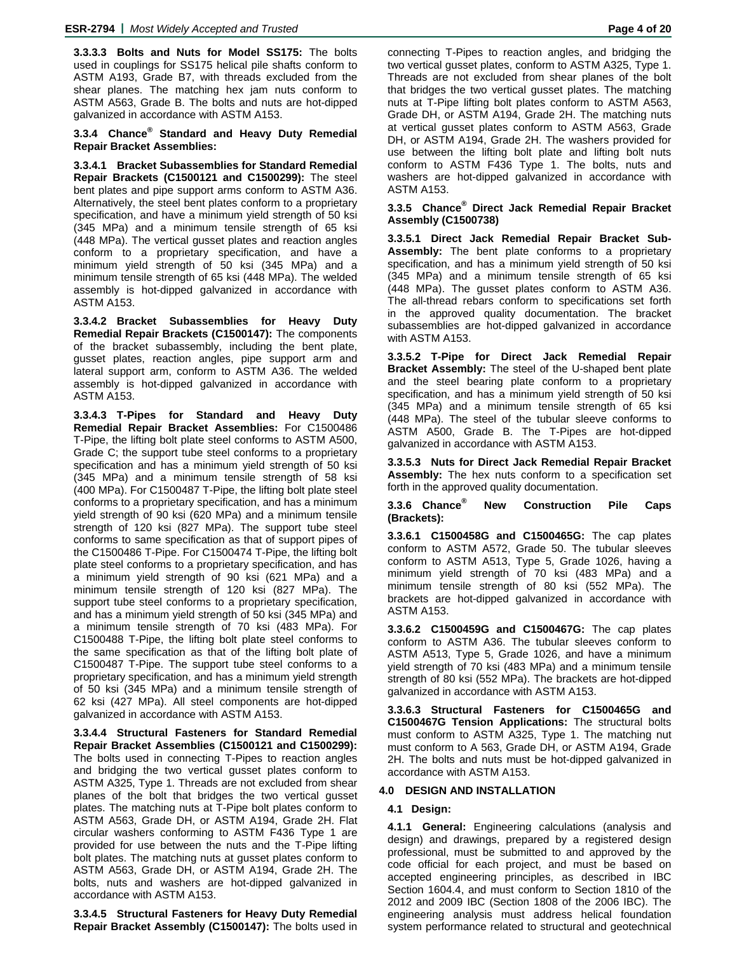**3.3.3.3 Bolts and Nuts for Model SS175:** The bolts used in couplings for SS175 helical pile shafts conform to ASTM A193, Grade B7, with threads excluded from the shear planes. The matching hex jam nuts conform to ASTM A563, Grade B. The bolts and nuts are hot-dipped galvanized in accordance with ASTM A153.

#### **3.3.4 Chance® Standard and Heavy Duty Remedial Repair Bracket Assemblies:**

**3.3.4.1 Bracket Subassemblies for Standard Remedial Repair Brackets (C1500121 and C1500299):** The steel bent plates and pipe support arms conform to ASTM A36. Alternatively, the steel bent plates conform to a proprietary specification, and have a minimum yield strength of 50 ksi (345 MPa) and a minimum tensile strength of 65 ksi (448 MPa). The vertical gusset plates and reaction angles conform to a proprietary specification, and have a minimum yield strength of 50 ksi (345 MPa) and a minimum tensile strength of 65 ksi (448 MPa). The welded assembly is hot-dipped galvanized in accordance with ASTM A153.

**3.3.4.2 Bracket Subassemblies for Heavy Duty Remedial Repair Brackets (C1500147):** The components of the bracket subassembly, including the bent plate, gusset plates, reaction angles, pipe support arm and lateral support arm, conform to ASTM A36. The welded assembly is hot-dipped galvanized in accordance with ASTM A153.

**3.3.4.3 T-Pipes for Standard and Heavy Duty Remedial Repair Bracket Assemblies:** For C1500486 T-Pipe, the lifting bolt plate steel conforms to ASTM A500, Grade C; the support tube steel conforms to a proprietary specification and has a minimum yield strength of 50 ksi (345 MPa) and a minimum tensile strength of 58 ksi (400 MPa). For C1500487 T-Pipe, the lifting bolt plate steel conforms to a proprietary specification, and has a minimum yield strength of 90 ksi (620 MPa) and a minimum tensile strength of 120 ksi (827 MPa). The support tube steel conforms to same specification as that of support pipes of the C1500486 T-Pipe. For C1500474 T-Pipe, the lifting bolt plate steel conforms to a proprietary specification, and has a minimum yield strength of 90 ksi (621 MPa) and a minimum tensile strength of 120 ksi (827 MPa). The support tube steel conforms to a proprietary specification, and has a minimum yield strength of 50 ksi (345 MPa) and a minimum tensile strength of 70 ksi (483 MPa). For C1500488 T-Pipe, the lifting bolt plate steel conforms to the same specification as that of the lifting bolt plate of C1500487 T-Pipe. The support tube steel conforms to a proprietary specification, and has a minimum yield strength of 50 ksi (345 MPa) and a minimum tensile strength of 62 ksi (427 MPa). All steel components are hot-dipped galvanized in accordance with ASTM A153.

**3.3.4.4 Structural Fasteners for Standard Remedial Repair Bracket Assemblies (C1500121 and C1500299):**  The bolts used in connecting T-Pipes to reaction angles and bridging the two vertical gusset plates conform to ASTM A325, Type 1. Threads are not excluded from shear planes of the bolt that bridges the two vertical gusset plates. The matching nuts at T-Pipe bolt plates conform to ASTM A563, Grade DH, or ASTM A194, Grade 2H. Flat circular washers conforming to ASTM F436 Type 1 are provided for use between the nuts and the T-Pipe lifting bolt plates. The matching nuts at gusset plates conform to ASTM A563, Grade DH, or ASTM A194, Grade 2H. The bolts, nuts and washers are hot-dipped galvanized in accordance with ASTM A153.

**3.3.4.5 Structural Fasteners for Heavy Duty Remedial Repair Bracket Assembly (C1500147):** The bolts used in

connecting T-Pipes to reaction angles, and bridging the two vertical gusset plates, conform to ASTM A325, Type 1. Threads are not excluded from shear planes of the bolt that bridges the two vertical gusset plates. The matching nuts at T-Pipe lifting bolt plates conform to ASTM A563, Grade DH, or ASTM A194, Grade 2H. The matching nuts at vertical gusset plates conform to ASTM A563, Grade DH, or ASTM A194, Grade 2H. The washers provided for use between the lifting bolt plate and lifting bolt nuts conform to ASTM F436 Type 1. The bolts, nuts and washers are hot-dipped galvanized in accordance with ASTM A153.

#### **3.3.5 Chance® Direct Jack Remedial Repair Bracket Assembly (C1500738)**

**3.3.5.1 Direct Jack Remedial Repair Bracket Sub-Assembly:** The bent plate conforms to a proprietary specification, and has a minimum yield strength of 50 ksi (345 MPa) and a minimum tensile strength of 65 ksi (448 MPa). The gusset plates conform to ASTM A36. The all-thread rebars conform to specifications set forth in the approved quality documentation. The bracket subassemblies are hot-dipped galvanized in accordance with ASTM A153.

**3.3.5.2 T-Pipe for Direct Jack Remedial Repair Bracket Assembly:** The steel of the U-shaped bent plate and the steel bearing plate conform to a proprietary specification, and has a minimum yield strength of 50 ksi (345 MPa) and a minimum tensile strength of 65 ksi (448 MPa). The steel of the tubular sleeve conforms to ASTM A500, Grade B. The T-Pipes are hot-dipped galvanized in accordance with ASTM A153.

**3.3.5.3 Nuts for Direct Jack Remedial Repair Bracket Assembly:** The hex nuts conform to a specification set forth in the approved quality documentation.

**3.3.6 Chance® New Construction Pile Caps (Brackets):** 

**3.3.6.1 C1500458G and C1500465G:** The cap plates conform to ASTM A572, Grade 50. The tubular sleeves conform to ASTM A513, Type 5, Grade 1026, having a minimum yield strength of 70 ksi (483 MPa) and a minimum tensile strength of 80 ksi (552 MPa). The brackets are hot-dipped galvanized in accordance with ASTM A153.

**3.3.6.2 C1500459G and C1500467G:** The cap plates conform to ASTM A36. The tubular sleeves conform to ASTM A513, Type 5, Grade 1026, and have a minimum yield strength of 70 ksi (483 MPa) and a minimum tensile strength of 80 ksi (552 MPa). The brackets are hot-dipped galvanized in accordance with ASTM A153.

**3.3.6.3 Structural Fasteners for C1500465G and C1500467G Tension Applications:** The structural bolts must conform to ASTM A325, Type 1. The matching nut must conform to A 563, Grade DH, or ASTM A194, Grade 2H. The bolts and nuts must be hot-dipped galvanized in accordance with ASTM A153.

#### **4.0 DESIGN AND INSTALLATION**

### **4.1 Design:**

**4.1.1 General:** Engineering calculations (analysis and design) and drawings, prepared by a registered design professional, must be submitted to and approved by the code official for each project, and must be based on accepted engineering principles, as described in IBC Section 1604.4, and must conform to Section 1810 of the 2012 and 2009 IBC (Section 1808 of the 2006 IBC). The engineering analysis must address helical foundation system performance related to structural and geotechnical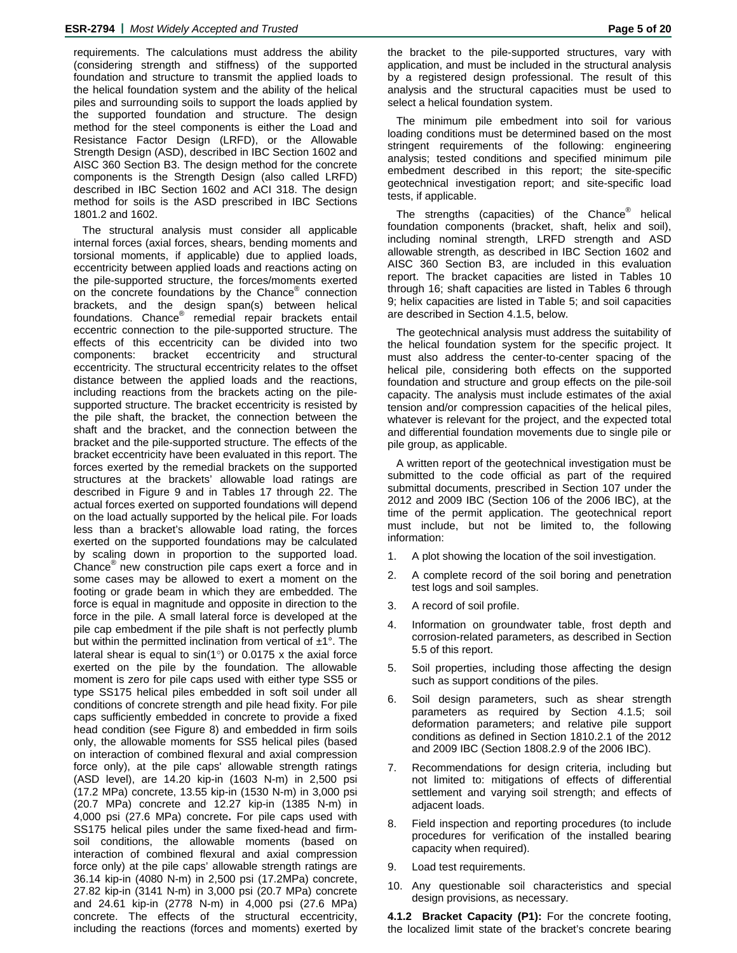requirements. The calculations must address the ability (considering strength and stiffness) of the supported foundation and structure to transmit the applied loads to the helical foundation system and the ability of the helical piles and surrounding soils to support the loads applied by the supported foundation and structure. The design method for the steel components is either the Load and Resistance Factor Design (LRFD), or the Allowable Strength Design (ASD), described in IBC Section 1602 and AISC 360 Section B3. The design method for the concrete components is the Strength Design (also called LRFD) described in IBC Section 1602 and ACI 318. The design method for soils is the ASD prescribed in IBC Sections 1801.2 and 1602.

The structural analysis must consider all applicable internal forces (axial forces, shears, bending moments and torsional moments, if applicable) due to applied loads, eccentricity between applied loads and reactions acting on the pile-supported structure, the forces/moments exerted on the concrete foundations by the Chance® connection brackets, and the design span(s) between helical foundations. Chance<sup>®</sup> remedial repair brackets entail eccentric connection to the pile-supported structure. The effects of this eccentricity can be divided into two components: bracket eccentricity and structural eccentricity. The structural eccentricity relates to the offset distance between the applied loads and the reactions, including reactions from the brackets acting on the pilesupported structure. The bracket eccentricity is resisted by the pile shaft, the bracket, the connection between the shaft and the bracket, and the connection between the bracket and the pile-supported structure. The effects of the bracket eccentricity have been evaluated in this report. The forces exerted by the remedial brackets on the supported structures at the brackets' allowable load ratings are described in Figure 9 and in Tables 17 through 22. The actual forces exerted on supported foundations will depend on the load actually supported by the helical pile. For loads less than a bracket's allowable load rating, the forces exerted on the supported foundations may be calculated by scaling down in proportion to the supported load. Chance® new construction pile caps exert a force and in some cases may be allowed to exert a moment on the footing or grade beam in which they are embedded. The force is equal in magnitude and opposite in direction to the force in the pile. A small lateral force is developed at the pile cap embedment if the pile shaft is not perfectly plumb but within the permitted inclination from vertical of  $\pm 1^{\circ}$ . The lateral shear is equal to  $sin(1^{\circ})$  or 0.0175 x the axial force exerted on the pile by the foundation. The allowable moment is zero for pile caps used with either type SS5 or type SS175 helical piles embedded in soft soil under all conditions of concrete strength and pile head fixity. For pile caps sufficiently embedded in concrete to provide a fixed head condition (see Figure 8) and embedded in firm soils only, the allowable moments for SS5 helical piles (based on interaction of combined flexural and axial compression force only), at the pile caps' allowable strength ratings (ASD level), are 14.20 kip-in (1603 N-m) in 2,500 psi (17.2 MPa) concrete, 13.55 kip-in (1530 N-m) in 3,000 psi (20.7 MPa) concrete and 12.27 kip-in (1385 N-m) in 4,000 psi (27.6 MPa) concrete**.** For pile caps used with SS175 helical piles under the same fixed-head and firmsoil conditions, the allowable moments (based on interaction of combined flexural and axial compression force only) at the pile caps' allowable strength ratings are 36.14 kip-in (4080 N-m) in 2,500 psi (17.2MPa) concrete, 27.82 kip-in (3141 N-m) in 3,000 psi (20.7 MPa) concrete and 24.61 kip-in (2778 N-m) in 4,000 psi (27.6 MPa) concrete. The effects of the structural eccentricity, including the reactions (forces and moments) exerted by

the bracket to the pile-supported structures, vary with application, and must be included in the structural analysis by a registered design professional. The result of this analysis and the structural capacities must be used to select a helical foundation system.

The minimum pile embedment into soil for various loading conditions must be determined based on the most stringent requirements of the following: engineering analysis; tested conditions and specified minimum pile embedment described in this report; the site-specific geotechnical investigation report; and site-specific load tests, if applicable.

The strengths (capacities) of the Chance<sup>®</sup> helical foundation components (bracket, shaft, helix and soil), including nominal strength, LRFD strength and ASD allowable strength, as described in IBC Section 1602 and AISC 360 Section B3, are included in this evaluation report. The bracket capacities are listed in Tables 10 through 16; shaft capacities are listed in Tables 6 through 9; helix capacities are listed in Table 5; and soil capacities are described in Section 4.1.5, below.

The geotechnical analysis must address the suitability of the helical foundation system for the specific project. It must also address the center-to-center spacing of the helical pile, considering both effects on the supported foundation and structure and group effects on the pile-soil capacity. The analysis must include estimates of the axial tension and/or compression capacities of the helical piles, whatever is relevant for the project, and the expected total and differential foundation movements due to single pile or pile group, as applicable.

A written report of the geotechnical investigation must be submitted to the code official as part of the required submittal documents, prescribed in Section 107 under the 2012 and 2009 IBC (Section 106 of the 2006 IBC), at the time of the permit application. The geotechnical report must include, but not be limited to, the following information:

- 1. A plot showing the location of the soil investigation.
- 2. A complete record of the soil boring and penetration test logs and soil samples.
- 3. A record of soil profile.
- 4. Information on groundwater table, frost depth and corrosion-related parameters, as described in Section 5.5 of this report.
- 5. Soil properties, including those affecting the design such as support conditions of the piles.
- 6. Soil design parameters, such as shear strength parameters as required by Section 4.1.5; soil deformation parameters; and relative pile support conditions as defined in Section 1810.2.1 of the 2012 and 2009 IBC (Section 1808.2.9 of the 2006 IBC).
- 7. Recommendations for design criteria, including but not limited to: mitigations of effects of differential settlement and varying soil strength; and effects of adjacent loads.
- 8. Field inspection and reporting procedures (to include procedures for verification of the installed bearing capacity when required).
- 9. Load test requirements.
- 10. Any questionable soil characteristics and special design provisions, as necessary.

**4.1.2 Bracket Capacity (P1):** For the concrete footing, the localized limit state of the bracket's concrete bearing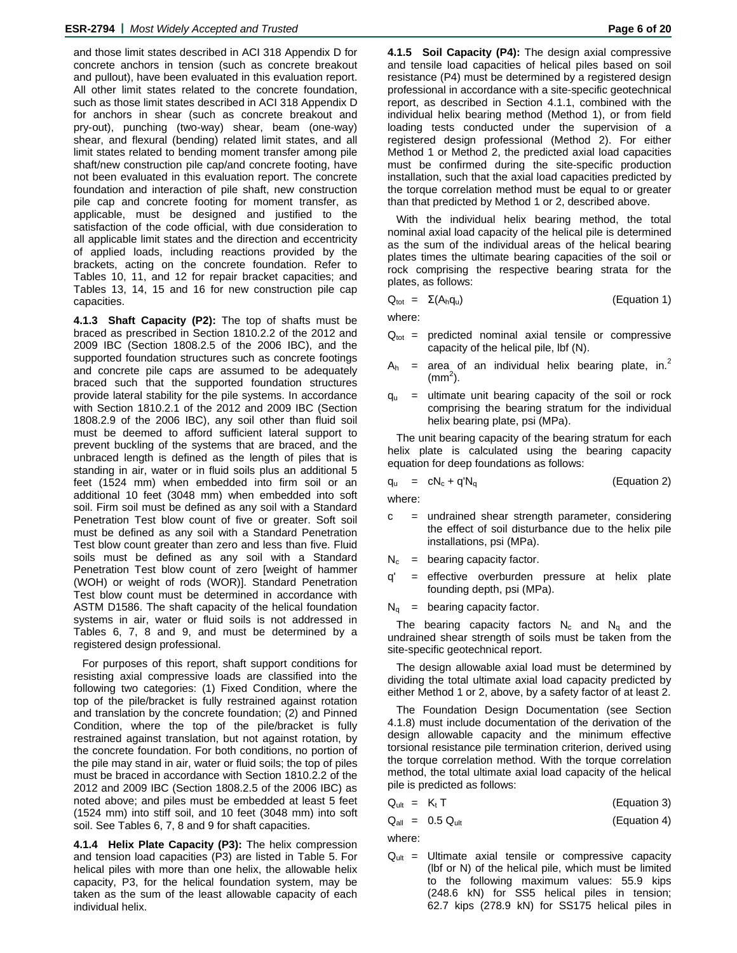and those limit states described in ACI 318 Appendix D for concrete anchors in tension (such as concrete breakout and pullout), have been evaluated in this evaluation report. All other limit states related to the concrete foundation, such as those limit states described in ACI 318 Appendix D for anchors in shear (such as concrete breakout and pry-out), punching (two-way) shear, beam (one-way) shear, and flexural (bending) related limit states, and all limit states related to bending moment transfer among pile shaft/new construction pile cap/and concrete footing, have not been evaluated in this evaluation report. The concrete foundation and interaction of pile shaft, new construction pile cap and concrete footing for moment transfer, as applicable, must be designed and justified to the satisfaction of the code official, with due consideration to all applicable limit states and the direction and eccentricity of applied loads, including reactions provided by the brackets, acting on the concrete foundation. Refer to Tables 10, 11, and 12 for repair bracket capacities; and Tables 13, 14, 15 and 16 for new construction pile cap capacities.

**4.1.3 Shaft Capacity (P2):** The top of shafts must be braced as prescribed in Section 1810.2.2 of the 2012 and 2009 IBC (Section 1808.2.5 of the 2006 IBC), and the supported foundation structures such as concrete footings and concrete pile caps are assumed to be adequately braced such that the supported foundation structures provide lateral stability for the pile systems. In accordance with Section 1810.2.1 of the 2012 and 2009 IBC (Section 1808.2.9 of the 2006 IBC), any soil other than fluid soil must be deemed to afford sufficient lateral support to prevent buckling of the systems that are braced, and the unbraced length is defined as the length of piles that is standing in air, water or in fluid soils plus an additional 5 feet (1524 mm) when embedded into firm soil or an additional 10 feet (3048 mm) when embedded into soft soil. Firm soil must be defined as any soil with a Standard Penetration Test blow count of five or greater. Soft soil must be defined as any soil with a Standard Penetration Test blow count greater than zero and less than five. Fluid soils must be defined as any soil with a Standard Penetration Test blow count of zero [weight of hammer (WOH) or weight of rods (WOR)]. Standard Penetration Test blow count must be determined in accordance with ASTM D1586. The shaft capacity of the helical foundation systems in air, water or fluid soils is not addressed in Tables 6, 7, 8 and 9, and must be determined by a registered design professional.

For purposes of this report, shaft support conditions for resisting axial compressive loads are classified into the following two categories: (1) Fixed Condition, where the top of the pile/bracket is fully restrained against rotation and translation by the concrete foundation; (2) and Pinned Condition, where the top of the pile/bracket is fully restrained against translation, but not against rotation, by the concrete foundation. For both conditions, no portion of the pile may stand in air, water or fluid soils; the top of piles must be braced in accordance with Section 1810.2.2 of the 2012 and 2009 IBC (Section 1808.2.5 of the 2006 IBC) as noted above; and piles must be embedded at least 5 feet (1524 mm) into stiff soil, and 10 feet (3048 mm) into soft soil. See Tables 6, 7, 8 and 9 for shaft capacities.

**4.1.4 Helix Plate Capacity (P3):** The helix compression and tension load capacities (P3) are listed in Table 5. For helical piles with more than one helix, the allowable helix capacity, P3, for the helical foundation system, may be taken as the sum of the least allowable capacity of each individual helix.

**4.1.5 Soil Capacity (P4):** The design axial compressive and tensile load capacities of helical piles based on soil resistance (P4) must be determined by a registered design professional in accordance with a site-specific geotechnical report, as described in Section 4.1.1, combined with the individual helix bearing method (Method 1), or from field loading tests conducted under the supervision of a registered design professional (Method 2). For either Method 1 or Method 2, the predicted axial load capacities must be confirmed during the site-specific production installation, such that the axial load capacities predicted by the torque correlation method must be equal to or greater than that predicted by Method 1 or 2, described above.

With the individual helix bearing method, the total nominal axial load capacity of the helical pile is determined as the sum of the individual areas of the helical bearing plates times the ultimate bearing capacities of the soil or rock comprising the respective bearing strata for the plates, as follows:

$$
Q_{\text{tot}} = \Sigma(A_h q_u) \tag{Equation 1}
$$

where:

- $Q_{\text{tot}}$  = predicted nominal axial tensile or compressive capacity of the helical pile, lbf (N).
- $A_h$  = area of an individual helix bearing plate, in.<sup>2</sup>  $\rm (mm^2)$ .
- $q_u$  = ultimate unit bearing capacity of the soil or rock comprising the bearing stratum for the individual helix bearing plate, psi (MPa).

The unit bearing capacity of the bearing stratum for each helix plate is calculated using the bearing capacity equation for deep foundations as follows:

$$
q_u = cN_c + q'N_q
$$
 (Equation 2)

where:

- c = undrained shear strength parameter, considering the effect of soil disturbance due to the helix pile installations, psi (MPa).
- $N_c$  = bearing capacity factor.
- q' = effective overburden pressure at helix plate founding depth, psi (MPa).
- $N_q$  = bearing capacity factor.

The bearing capacity factors  $N_c$  and  $N_q$  and the undrained shear strength of soils must be taken from the site-specific geotechnical report.

The design allowable axial load must be determined by dividing the total ultimate axial load capacity predicted by either Method 1 or 2, above, by a safety factor of at least 2.

The Foundation Design Documentation (see Section 4.1.8) must include documentation of the derivation of the design allowable capacity and the minimum effective torsional resistance pile termination criterion, derived using the torque correlation method. With the torque correlation method, the total ultimate axial load capacity of the helical pile is predicted as follows:

$$
Q_{ult} = K_t T
$$
 (Equation 3)

$$
Q_{all} = 0.5 Q_{ult}
$$
 (Equation 4)

where:

 $Q_{ult}$  = Ultimate axial tensile or compressive capacity (lbf or N) of the helical pile, which must be limited to the following maximum values: 55.9 kips (248.6 kN) for SS5 helical piles in tension; 62.7 kips (278.9 kN) for SS175 helical piles in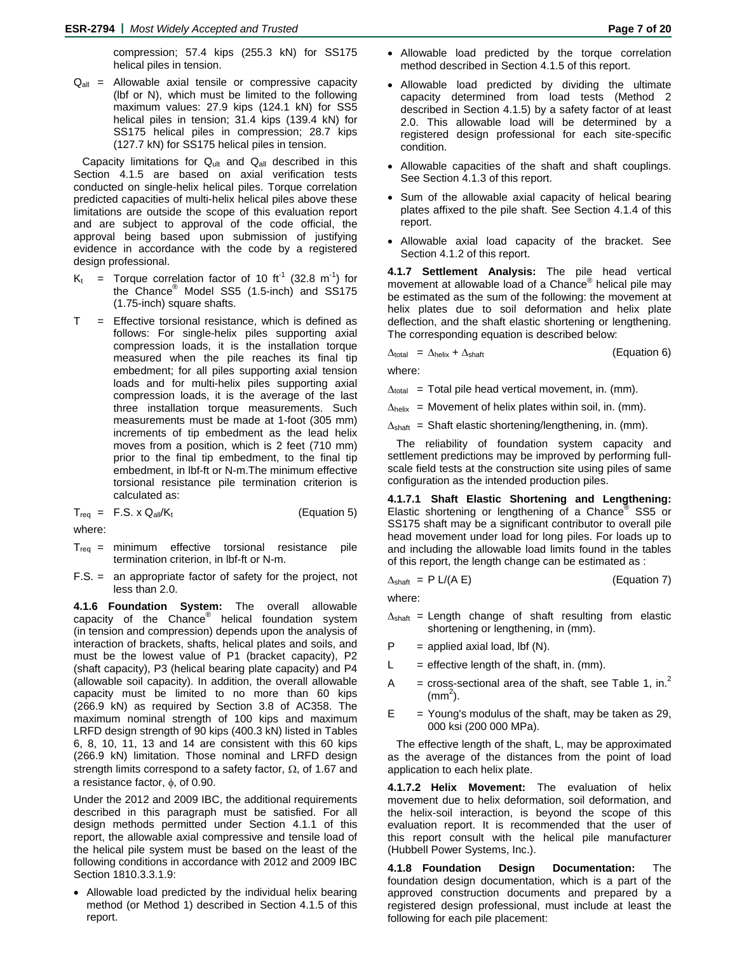compression; 57.4 kips (255.3 kN) for SS175 helical piles in tension.

 $Q_{all}$  = Allowable axial tensile or compressive capacity (lbf or N), which must be limited to the following maximum values: 27.9 kips (124.1 kN) for SS5 helical piles in tension; 31.4 kips (139.4 kN) for SS175 helical piles in compression; 28.7 kips (127.7 kN) for SS175 helical piles in tension.

Capacity limitations for  $Q_{ult}$  and  $Q_{all}$  described in this Section 4.1.5 are based on axial verification tests conducted on single-helix helical piles. Torque correlation predicted capacities of multi-helix helical piles above these limitations are outside the scope of this evaluation report and are subject to approval of the code official, the approval being based upon submission of justifying evidence in accordance with the code by a registered design professional.

- $K_t$  = Torque correlation factor of 10 ft<sup>-1</sup> (32.8 m<sup>-1</sup>) for the Chance® Model SS5 (1.5-inch) and SS175 (1.75-inch) square shafts.
- $T =$  Effective torsional resistance, which is defined as follows: For single-helix piles supporting axial compression loads, it is the installation torque measured when the pile reaches its final tip embedment; for all piles supporting axial tension loads and for multi-helix piles supporting axial compression loads, it is the average of the last three installation torque measurements. Such measurements must be made at 1-foot (305 mm) increments of tip embedment as the lead helix moves from a position, which is 2 feet (710 mm) prior to the final tip embedment, to the final tip embedment, in lbf-ft or N-m.The minimum effective torsional resistance pile termination criterion is calculated as:

 $T_{req}$  = F.S. x Q<sub>all</sub>/K<sub>t</sub> (Equation 5)

where:

- $T_{\text{rea}}$  = minimum effective torsional resistance pile termination criterion, in lbf-ft or N-m.
- F.S. = an appropriate factor of safety for the project, not less than 2.0.

**4.1.6 Foundation System:** The overall allowable capacity of the Chance® helical foundation system (in tension and compression) depends upon the analysis of interaction of brackets, shafts, helical plates and soils, and must be the lowest value of P1 (bracket capacity), P2 (shaft capacity), P3 (helical bearing plate capacity) and P4 (allowable soil capacity). In addition, the overall allowable capacity must be limited to no more than 60 kips (266.9 kN) as required by Section 3.8 of AC358. The maximum nominal strength of 100 kips and maximum LRFD design strength of 90 kips (400.3 kN) listed in Tables 6, 8, 10, 11, 13 and 14 are consistent with this 60 kips (266.9 kN) limitation. Those nominal and LRFD design strength limits correspond to a safety factor,  $\Omega$ , of 1.67 and a resistance factor,  $\phi$ , of 0.90.

Under the 2012 and 2009 IBC, the additional requirements described in this paragraph must be satisfied. For all design methods permitted under Section 4.1.1 of this report, the allowable axial compressive and tensile load of the helical pile system must be based on the least of the following conditions in accordance with 2012 and 2009 IBC Section 1810.3.3.1.9:

• Allowable load predicted by the individual helix bearing method (or Method 1) described in Section 4.1.5 of this report.

- Allowable load predicted by the torque correlation method described in Section 4.1.5 of this report.
- Allowable load predicted by dividing the ultimate capacity determined from load tests (Method 2 described in Section 4.1.5) by a safety factor of at least 2.0. This allowable load will be determined by a registered design professional for each site-specific condition.
- Allowable capacities of the shaft and shaft couplings. See Section 4.1.3 of this report.
- Sum of the allowable axial capacity of helical bearing plates affixed to the pile shaft. See Section 4.1.4 of this report.
- Allowable axial load capacity of the bracket. See Section 4.1.2 of this report.

**4.1.7 Settlement Analysis:** The pile head vertical movement at allowable load of a Chance® helical pile may be estimated as the sum of the following: the movement at helix plates due to soil deformation and helix plate deflection, and the shaft elastic shortening or lengthening. The corresponding equation is described below:

 $\Delta_{\text{total}} = \Delta_{\text{helix}} + \Delta_{\text{shaff}}$  (Equation 6)

where:

 $\Delta_{\text{total}}$  = Total pile head vertical movement, in. (mm).

 $\Delta_{helix}$  = Movement of helix plates within soil, in. (mm).

 $\Delta_{\text{shaff}}$  = Shaft elastic shortening/lengthening, in. (mm).

The reliability of foundation system capacity and settlement predictions may be improved by performing fullscale field tests at the construction site using piles of same configuration as the intended production piles.

**4.1.7.1 Shaft Elastic Shortening and Lengthening:**  Elastic shortening or lengthening of a Chance<sup>®</sup> SS5 or SS175 shaft may be a significant contributor to overall pile head movement under load for long piles. For loads up to and including the allowable load limits found in the tables of this report, the length change can be estimated as :

 $\Delta_{\text{shaff}}$  = P L/(A E) (Equation 7)

where:

- $\Delta_{\text{shaff}}$  = Length change of shaft resulting from elastic shortening or lengthening, in (mm).
- $P =$  applied axial load, lbf (N).
- $L =$  effective length of the shaft, in. (mm).
- A = cross-sectional area of the shaft, see Table 1, in.<sup>2</sup>  $\rm (mm^2).$
- $E =$  Young's modulus of the shaft, may be taken as 29, 000 ksi (200 000 MPa).

The effective length of the shaft, L, may be approximated as the average of the distances from the point of load application to each helix plate.

**4.1.7.2 Helix Movement:** The evaluation of helix movement due to helix deformation, soil deformation, and the helix-soil interaction, is beyond the scope of this evaluation report. It is recommended that the user of this report consult with the helical pile manufacturer (Hubbell Power Systems, Inc.).

**4.1.8 Foundation Design Documentation:** The foundation design documentation, which is a part of the approved construction documents and prepared by a registered design professional, must include at least the following for each pile placement: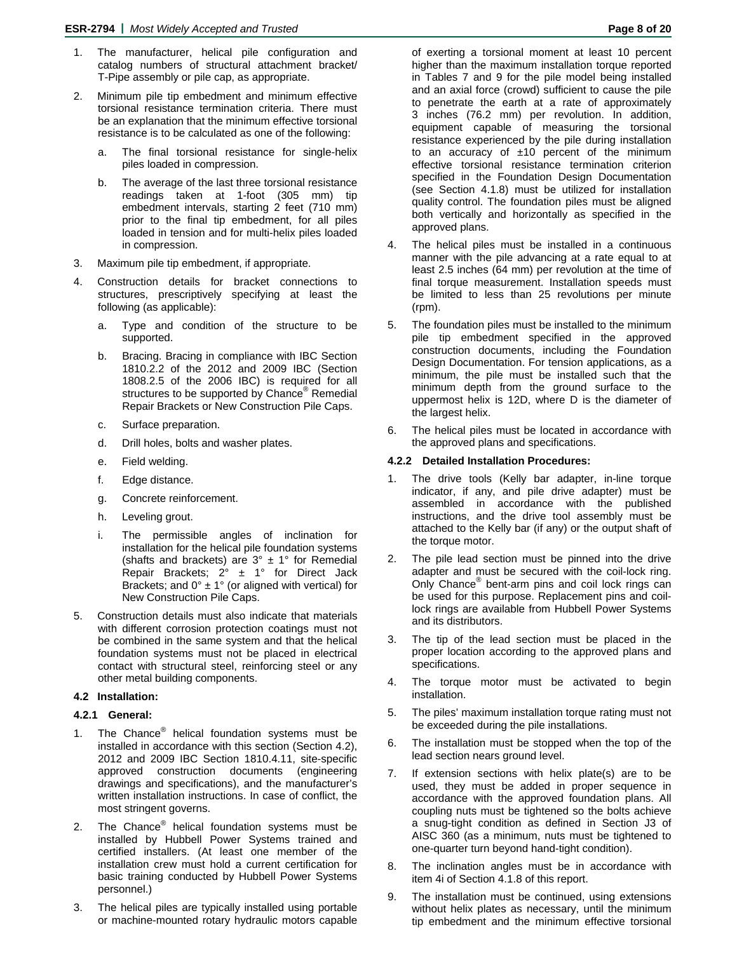- 1. The manufacturer, helical pile configuration and catalog numbers of structural attachment bracket/ T-Pipe assembly or pile cap, as appropriate.
- 2. Minimum pile tip embedment and minimum effective torsional resistance termination criteria. There must be an explanation that the minimum effective torsional resistance is to be calculated as one of the following:
	- a. The final torsional resistance for single-helix piles loaded in compression.
	- b. The average of the last three torsional resistance readings taken at 1-foot (305 mm) tip embedment intervals, starting 2 feet (710 mm) prior to the final tip embedment, for all piles loaded in tension and for multi-helix piles loaded in compression.
- 3. Maximum pile tip embedment, if appropriate.
- 4. Construction details for bracket connections to structures, prescriptively specifying at least the following (as applicable):
	- a. Type and condition of the structure to be supported.
	- b. Bracing. Bracing in compliance with IBC Section 1810.2.2 of the 2012 and 2009 IBC (Section 1808.2.5 of the 2006 IBC) is required for all structures to be supported by Chance<sup>®</sup> Remedial Repair Brackets or New Construction Pile Caps.
	- c. Surface preparation.
	- d. Drill holes, bolts and washer plates.
	- e. Field welding.
	- f. Edge distance.
	- g. Concrete reinforcement.
	- h. Leveling grout.
	- i. The permissible angles of inclination for installation for the helical pile foundation systems (shafts and brackets) are  $3^\circ \pm 1^\circ$  for Remedial Repair Brackets;  $2^{\circ} \pm 1^{\circ}$  for Direct Jack Brackets; and  $0^{\circ}$  ± 1° (or aligned with vertical) for New Construction Pile Caps.
- 5. Construction details must also indicate that materials with different corrosion protection coatings must not be combined in the same system and that the helical foundation systems must not be placed in electrical contact with structural steel, reinforcing steel or any other metal building components.

#### **4.2 Installation:**

#### **4.2.1 General:**

- 1. The Chance<sup>®</sup> helical foundation systems must be installed in accordance with this section (Section 4.2), 2012 and 2009 IBC Section 1810.4.11, site-specific approved construction documents (engineering drawings and specifications), and the manufacturer's written installation instructions. In case of conflict, the most stringent governs.
- 2. The Chance<sup>®</sup> helical foundation systems must be installed by Hubbell Power Systems trained and certified installers. (At least one member of the installation crew must hold a current certification for basic training conducted by Hubbell Power Systems personnel.)
- 3. The helical piles are typically installed using portable or machine-mounted rotary hydraulic motors capable

of exerting a torsional moment at least 10 percent higher than the maximum installation torque reported in Tables 7 and 9 for the pile model being installed and an axial force (crowd) sufficient to cause the pile to penetrate the earth at a rate of approximately 3 inches (76.2 mm) per revolution. In addition, equipment capable of measuring the torsional resistance experienced by the pile during installation to an accuracy of  $\pm 10$  percent of the minimum effective torsional resistance termination criterion specified in the Foundation Design Documentation (see Section 4.1.8) must be utilized for installation quality control. The foundation piles must be aligned both vertically and horizontally as specified in the approved plans.

- 4. The helical piles must be installed in a continuous manner with the pile advancing at a rate equal to at least 2.5 inches (64 mm) per revolution at the time of final torque measurement. Installation speeds must be limited to less than 25 revolutions per minute (rpm).
- 5. The foundation piles must be installed to the minimum pile tip embedment specified in the approved construction documents, including the Foundation Design Documentation. For tension applications, as a minimum, the pile must be installed such that the minimum depth from the ground surface to the uppermost helix is 12D, where D is the diameter of the largest helix.
- 6. The helical piles must be located in accordance with the approved plans and specifications.

#### **4.2.2 Detailed Installation Procedures:**

- 1. The drive tools (Kelly bar adapter, in-line torque indicator, if any, and pile drive adapter) must be assembled in accordance with the published instructions, and the drive tool assembly must be attached to the Kelly bar (if any) or the output shaft of the torque motor.
- 2. The pile lead section must be pinned into the drive adapter and must be secured with the coil-lock ring. Only Chance® bent-arm pins and coil lock rings can be used for this purpose. Replacement pins and coillock rings are available from Hubbell Power Systems and its distributors.
- 3. The tip of the lead section must be placed in the proper location according to the approved plans and specifications.
- 4. The torque motor must be activated to begin installation.
- 5. The piles' maximum installation torque rating must not be exceeded during the pile installations.
- 6. The installation must be stopped when the top of the lead section nears ground level.
- 7. If extension sections with helix plate(s) are to be used, they must be added in proper sequence in accordance with the approved foundation plans. All coupling nuts must be tightened so the bolts achieve a snug-tight condition as defined in Section J3 of AISC 360 (as a minimum, nuts must be tightened to one-quarter turn beyond hand-tight condition).
- 8. The inclination angles must be in accordance with item 4i of Section 4.1.8 of this report.
- 9. The installation must be continued, using extensions without helix plates as necessary, until the minimum tip embedment and the minimum effective torsional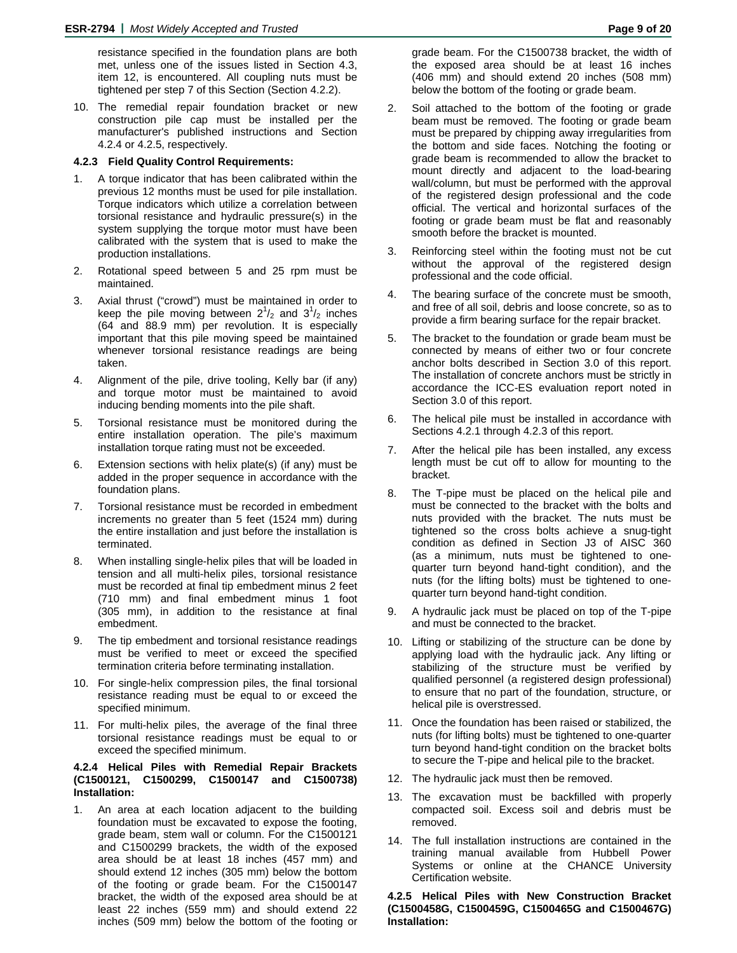resistance specified in the foundation plans are both met, unless one of the issues listed in Section 4.3, item 12, is encountered. All coupling nuts must be tightened per step 7 of this Section (Section 4.2.2).

10. The remedial repair foundation bracket or new construction pile cap must be installed per the manufacturer's published instructions and Section 4.2.4 or 4.2.5, respectively.

#### **4.2.3 Field Quality Control Requirements:**

- 1. A torque indicator that has been calibrated within the previous 12 months must be used for pile installation. Torque indicators which utilize a correlation between torsional resistance and hydraulic pressure(s) in the system supplying the torque motor must have been calibrated with the system that is used to make the production installations.
- 2. Rotational speed between 5 and 25 rpm must be maintained.
- 3. Axial thrust ("crowd") must be maintained in order to keep the pile moving between  $2^1/z$  and  $3^1/z$  inches (64 and 88.9 mm) per revolution. It is especially important that this pile moving speed be maintained whenever torsional resistance readings are being taken.
- 4. Alignment of the pile, drive tooling, Kelly bar (if any) and torque motor must be maintained to avoid inducing bending moments into the pile shaft.
- 5. Torsional resistance must be monitored during the entire installation operation. The pile's maximum installation torque rating must not be exceeded.
- 6. Extension sections with helix plate(s) (if any) must be added in the proper sequence in accordance with the foundation plans.
- 7. Torsional resistance must be recorded in embedment increments no greater than 5 feet (1524 mm) during the entire installation and just before the installation is terminated.
- 8. When installing single-helix piles that will be loaded in tension and all multi-helix piles, torsional resistance must be recorded at final tip embedment minus 2 feet (710 mm) and final embedment minus 1 foot (305 mm), in addition to the resistance at final embedment.
- 9. The tip embedment and torsional resistance readings must be verified to meet or exceed the specified termination criteria before terminating installation.
- 10. For single-helix compression piles, the final torsional resistance reading must be equal to or exceed the specified minimum.
- 11. For multi-helix piles, the average of the final three torsional resistance readings must be equal to or exceed the specified minimum.

#### **4.2.4 Helical Piles with Remedial Repair Brackets (C1500121, C1500299, C1500147 and C1500738) Installation:**

1. An area at each location adjacent to the building foundation must be excavated to expose the footing, grade beam, stem wall or column. For the C1500121 and C1500299 brackets, the width of the exposed area should be at least 18 inches (457 mm) and should extend 12 inches (305 mm) below the bottom of the footing or grade beam. For the C1500147 bracket, the width of the exposed area should be at least 22 inches (559 mm) and should extend 22 inches (509 mm) below the bottom of the footing or

grade beam. For the C1500738 bracket, the width of the exposed area should be at least 16 inches (406 mm) and should extend 20 inches (508 mm) below the bottom of the footing or grade beam.

- 2. Soil attached to the bottom of the footing or grade beam must be removed. The footing or grade beam must be prepared by chipping away irregularities from the bottom and side faces. Notching the footing or grade beam is recommended to allow the bracket to mount directly and adjacent to the load-bearing wall/column, but must be performed with the approval of the registered design professional and the code official. The vertical and horizontal surfaces of the footing or grade beam must be flat and reasonably smooth before the bracket is mounted.
- 3. Reinforcing steel within the footing must not be cut without the approval of the registered design professional and the code official.
- The bearing surface of the concrete must be smooth, and free of all soil, debris and loose concrete, so as to provide a firm bearing surface for the repair bracket.
- 5. The bracket to the foundation or grade beam must be connected by means of either two or four concrete anchor bolts described in Section 3.0 of this report. The installation of concrete anchors must be strictly in accordance the ICC-ES evaluation report noted in Section 3.0 of this report.
- 6. The helical pile must be installed in accordance with Sections 4.2.1 through 4.2.3 of this report.
- 7. After the helical pile has been installed, any excess length must be cut off to allow for mounting to the bracket.
- 8. The T-pipe must be placed on the helical pile and must be connected to the bracket with the bolts and nuts provided with the bracket. The nuts must be tightened so the cross bolts achieve a snug-tight condition as defined in Section J3 of AISC 360 (as a minimum, nuts must be tightened to onequarter turn beyond hand-tight condition), and the nuts (for the lifting bolts) must be tightened to onequarter turn beyond hand-tight condition.
- 9. A hydraulic jack must be placed on top of the T-pipe and must be connected to the bracket.
- 10. Lifting or stabilizing of the structure can be done by applying load with the hydraulic jack. Any lifting or stabilizing of the structure must be verified by qualified personnel (a registered design professional) to ensure that no part of the foundation, structure, or helical pile is overstressed.
- 11. Once the foundation has been raised or stabilized, the nuts (for lifting bolts) must be tightened to one-quarter turn beyond hand-tight condition on the bracket bolts to secure the T-pipe and helical pile to the bracket.
- 12. The hydraulic jack must then be removed.
- 13. The excavation must be backfilled with properly compacted soil. Excess soil and debris must be removed.
- 14. The full installation instructions are contained in the training manual available from Hubbell Power Systems or online at the CHANCE University Certification website.

#### **4.2.5 Helical Piles with New Construction Bracket (C1500458G, C1500459G, C1500465G and C1500467G) Installation:**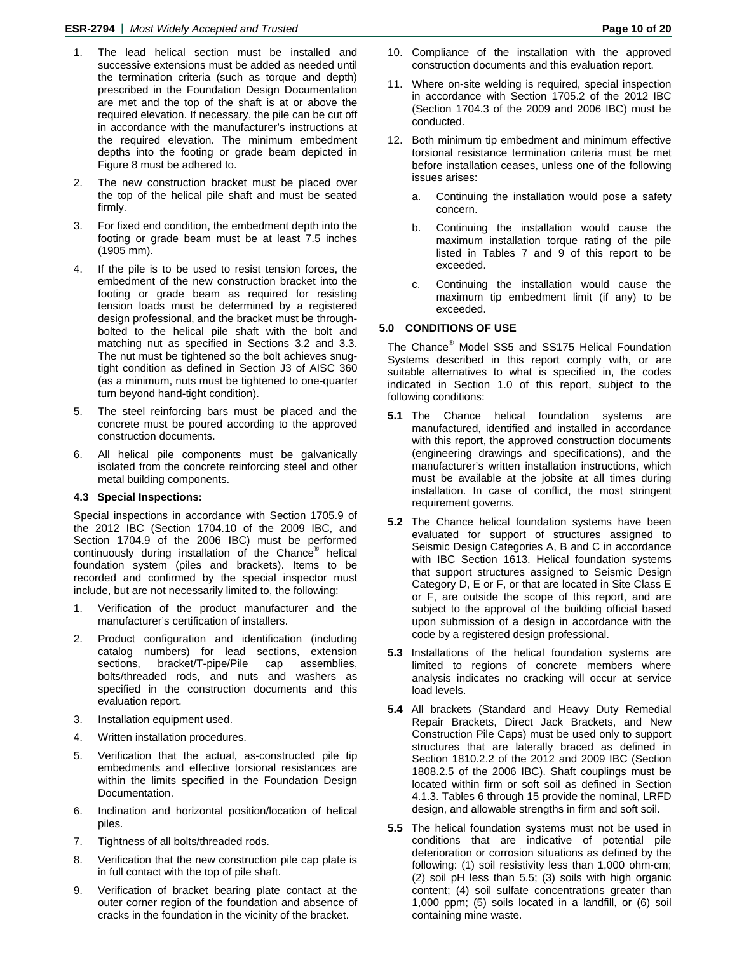- 1. The lead helical section must be installed and successive extensions must be added as needed until the termination criteria (such as torque and depth) prescribed in the Foundation Design Documentation are met and the top of the shaft is at or above the required elevation. If necessary, the pile can be cut off in accordance with the manufacturer's instructions at the required elevation. The minimum embedment depths into the footing or grade beam depicted in Figure 8 must be adhered to.
- 2. The new construction bracket must be placed over the top of the helical pile shaft and must be seated firmly.
- 3. For fixed end condition, the embedment depth into the footing or grade beam must be at least 7.5 inches (1905 mm).
- 4. If the pile is to be used to resist tension forces, the embedment of the new construction bracket into the footing or grade beam as required for resisting tension loads must be determined by a registered design professional, and the bracket must be throughbolted to the helical pile shaft with the bolt and matching nut as specified in Sections 3.2 and 3.3. The nut must be tightened so the bolt achieves snugtight condition as defined in Section J3 of AISC 360 (as a minimum, nuts must be tightened to one-quarter turn beyond hand-tight condition).
- 5. The steel reinforcing bars must be placed and the concrete must be poured according to the approved construction documents.
- 6. All helical pile components must be galvanically isolated from the concrete reinforcing steel and other metal building components.

### **4.3 Special Inspections:**

Special inspections in accordance with Section 1705.9 of the 2012 IBC (Section 1704.10 of the 2009 IBC, and Section 1704.9 of the 2006 IBC) must be performed continuously during installation of the Chance<sup>®</sup> helical foundation system (piles and brackets). Items to be recorded and confirmed by the special inspector must include, but are not necessarily limited to, the following:

- 1. Verification of the product manufacturer and the manufacturer's certification of installers.
- 2. Product configuration and identification (including catalog numbers) for lead sections, extension sections, bracket/T-pipe/Pile cap assemblies, bolts/threaded rods, and nuts and washers as specified in the construction documents and this evaluation report.
- 3. Installation equipment used.
- 4. Written installation procedures.
- 5. Verification that the actual, as-constructed pile tip embedments and effective torsional resistances are within the limits specified in the Foundation Design Documentation.
- 6. Inclination and horizontal position/location of helical piles.
- 7. Tightness of all bolts/threaded rods.
- 8. Verification that the new construction pile cap plate is in full contact with the top of pile shaft.
- 9. Verification of bracket bearing plate contact at the outer corner region of the foundation and absence of cracks in the foundation in the vicinity of the bracket.
- 10. Compliance of the installation with the approved construction documents and this evaluation report.
- 11. Where on-site welding is required, special inspection in accordance with Section 1705.2 of the 2012 IBC (Section 1704.3 of the 2009 and 2006 IBC) must be conducted.
- 12. Both minimum tip embedment and minimum effective torsional resistance termination criteria must be met before installation ceases, unless one of the following issues arises:
	- a. Continuing the installation would pose a safety concern.
	- b. Continuing the installation would cause the maximum installation torque rating of the pile listed in Tables 7 and 9 of this report to be exceeded.
	- c. Continuing the installation would cause the maximum tip embedment limit (if any) to be exceeded.

# **5.0 CONDITIONS OF USE**

The Chance® Model SS5 and SS175 Helical Foundation Systems described in this report comply with, or are suitable alternatives to what is specified in, the codes indicated in Section 1.0 of this report, subject to the following conditions:

- **5.1** The Chance helical foundation systems are manufactured, identified and installed in accordance with this report, the approved construction documents (engineering drawings and specifications), and the manufacturer's written installation instructions, which must be available at the jobsite at all times during installation. In case of conflict, the most stringent requirement governs.
- **5.2** The Chance helical foundation systems have been evaluated for support of structures assigned to Seismic Design Categories A, B and C in accordance with IBC Section 1613. Helical foundation systems that support structures assigned to Seismic Design Category D, E or F, or that are located in Site Class E or F, are outside the scope of this report, and are subject to the approval of the building official based upon submission of a design in accordance with the code by a registered design professional.
- **5.3** Installations of the helical foundation systems are limited to regions of concrete members where analysis indicates no cracking will occur at service load levels.
- **5.4** All brackets (Standard and Heavy Duty Remedial Repair Brackets, Direct Jack Brackets, and New Construction Pile Caps) must be used only to support structures that are laterally braced as defined in Section 1810.2.2 of the 2012 and 2009 IBC (Section 1808.2.5 of the 2006 IBC). Shaft couplings must be located within firm or soft soil as defined in Section 4.1.3. Tables 6 through 15 provide the nominal, LRFD design, and allowable strengths in firm and soft soil.
- **5.5** The helical foundation systems must not be used in conditions that are indicative of potential pile deterioration or corrosion situations as defined by the following: (1) soil resistivity less than 1,000 ohm-cm; (2) soil pH less than 5.5; (3) soils with high organic content; (4) soil sulfate concentrations greater than 1,000 ppm; (5) soils located in a landfill, or (6) soil containing mine waste.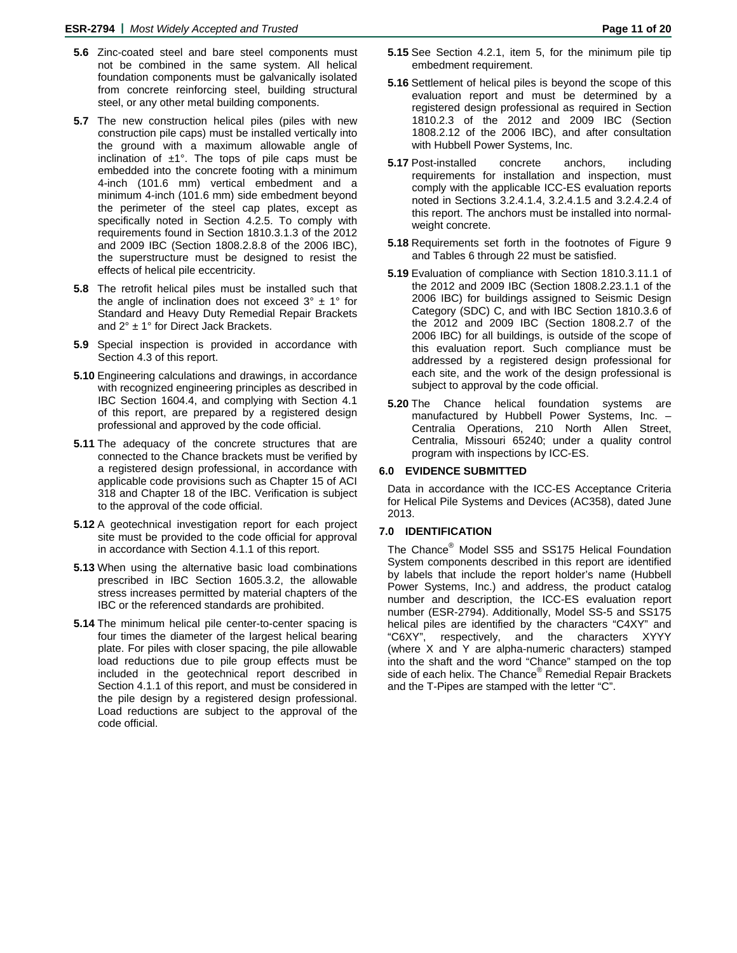- **5.6** Zinc-coated steel and bare steel components must not be combined in the same system. All helical foundation components must be galvanically isolated from concrete reinforcing steel, building structural steel, or any other metal building components.
- **5.7** The new construction helical piles (piles with new construction pile caps) must be installed vertically into the ground with a maximum allowable angle of inclination of  $\pm 1^{\circ}$ . The tops of pile caps must be embedded into the concrete footing with a minimum 4-inch (101.6 mm) vertical embedment and a minimum 4-inch (101.6 mm) side embedment beyond the perimeter of the steel cap plates, except as specifically noted in Section 4.2.5. To comply with requirements found in Section 1810.3.1.3 of the 2012 and 2009 IBC (Section 1808.2.8.8 of the 2006 IBC), the superstructure must be designed to resist the effects of helical pile eccentricity.
- **5.8** The retrofit helical piles must be installed such that the angle of inclination does not exceed  $3^\circ \pm 1^\circ$  for Standard and Heavy Duty Remedial Repair Brackets and 2° ± 1° for Direct Jack Brackets.
- **5.9** Special inspection is provided in accordance with Section 4.3 of this report.
- **5.10** Engineering calculations and drawings, in accordance with recognized engineering principles as described in IBC Section 1604.4, and complying with Section 4.1 of this report, are prepared by a registered design professional and approved by the code official.
- **5.11** The adequacy of the concrete structures that are connected to the Chance brackets must be verified by a registered design professional, in accordance with applicable code provisions such as Chapter 15 of ACI 318 and Chapter 18 of the IBC. Verification is subject to the approval of the code official.
- **5.12** A geotechnical investigation report for each project site must be provided to the code official for approval in accordance with Section 4.1.1 of this report.
- **5.13** When using the alternative basic load combinations prescribed in IBC Section 1605.3.2, the allowable stress increases permitted by material chapters of the IBC or the referenced standards are prohibited.
- **5.14** The minimum helical pile center-to-center spacing is four times the diameter of the largest helical bearing plate. For piles with closer spacing, the pile allowable load reductions due to pile group effects must be included in the geotechnical report described in Section 4.1.1 of this report, and must be considered in the pile design by a registered design professional. Load reductions are subject to the approval of the code official.
- **5.15** See Section 4.2.1, item 5, for the minimum pile tip embedment requirement.
- **5.16** Settlement of helical piles is beyond the scope of this evaluation report and must be determined by a registered design professional as required in Section 1810.2.3 of the 2012 and 2009 IBC (Section 1808.2.12 of the 2006 IBC), and after consultation with Hubbell Power Systems, Inc.
- **5.17** Post-installed concrete anchors, including requirements for installation and inspection, must comply with the applicable ICC-ES evaluation reports noted in Sections 3.2.4.1.4, 3.2.4.1.5 and 3.2.4.2.4 of this report. The anchors must be installed into normalweight concrete.
- **5.18** Requirements set forth in the footnotes of Figure 9 and Tables 6 through 22 must be satisfied.
- **5.19** Evaluation of compliance with Section 1810.3.11.1 of the 2012 and 2009 IBC (Section 1808.2.23.1.1 of the 2006 IBC) for buildings assigned to Seismic Design Category (SDC) C, and with IBC Section 1810.3.6 of the 2012 and 2009 IBC (Section 1808.2.7 of the 2006 IBC) for all buildings, is outside of the scope of this evaluation report. Such compliance must be addressed by a registered design professional for each site, and the work of the design professional is subject to approval by the code official.
- **5.20** The Chance helical foundation systems are manufactured by Hubbell Power Systems, Inc. – Centralia Operations, 210 North Allen Street, Centralia, Missouri 65240; under a quality control program with inspections by ICC-ES.

#### **6.0 EVIDENCE SUBMITTED**

Data in accordance with the ICC-ES Acceptance Criteria for Helical Pile Systems and Devices (AC358), dated June 2013.

#### **7.0 IDENTIFICATION**

The Chance® Model SS5 and SS175 Helical Foundation System components described in this report are identified by labels that include the report holder's name (Hubbell Power Systems, Inc.) and address, the product catalog number and description, the ICC-ES evaluation report number (ESR-2794). Additionally, Model SS-5 and SS175 helical piles are identified by the characters "C4XY" and "C6XY", respectively, and the characters XYYY (where X and Y are alpha-numeric characters) stamped into the shaft and the word "Chance" stamped on the top side of each helix. The Chance® Remedial Repair Brackets and the T-Pipes are stamped with the letter "C".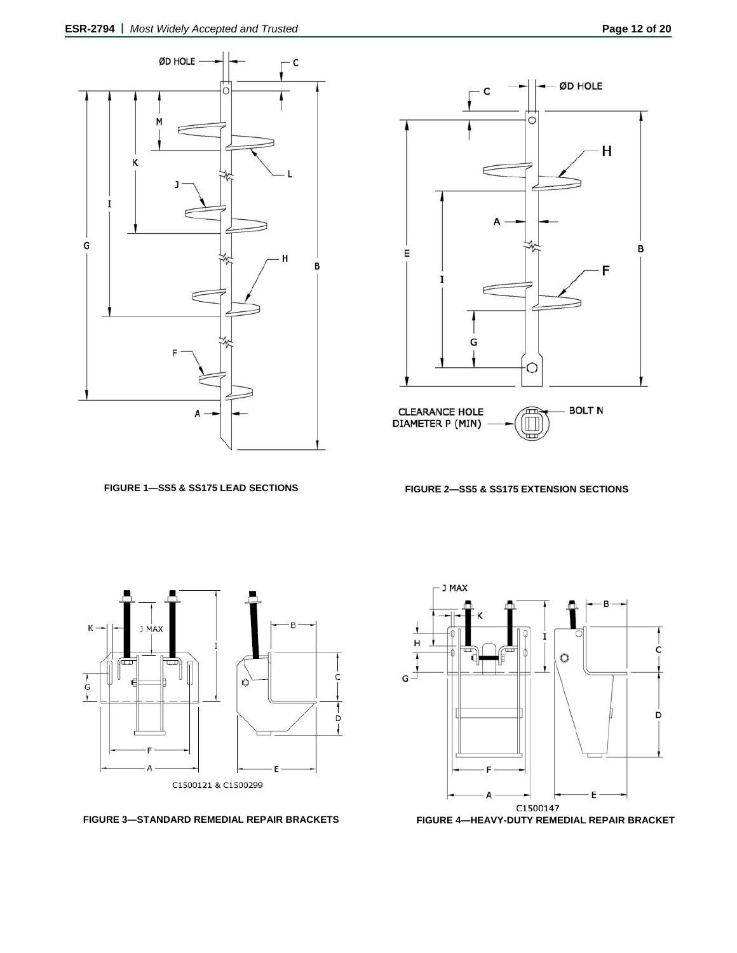

**FIGURE 1—SS5 & SS175 LEAD SECTIONS FIGURE 2—SS5 & SS175 EXTENSION SECTIONS** 



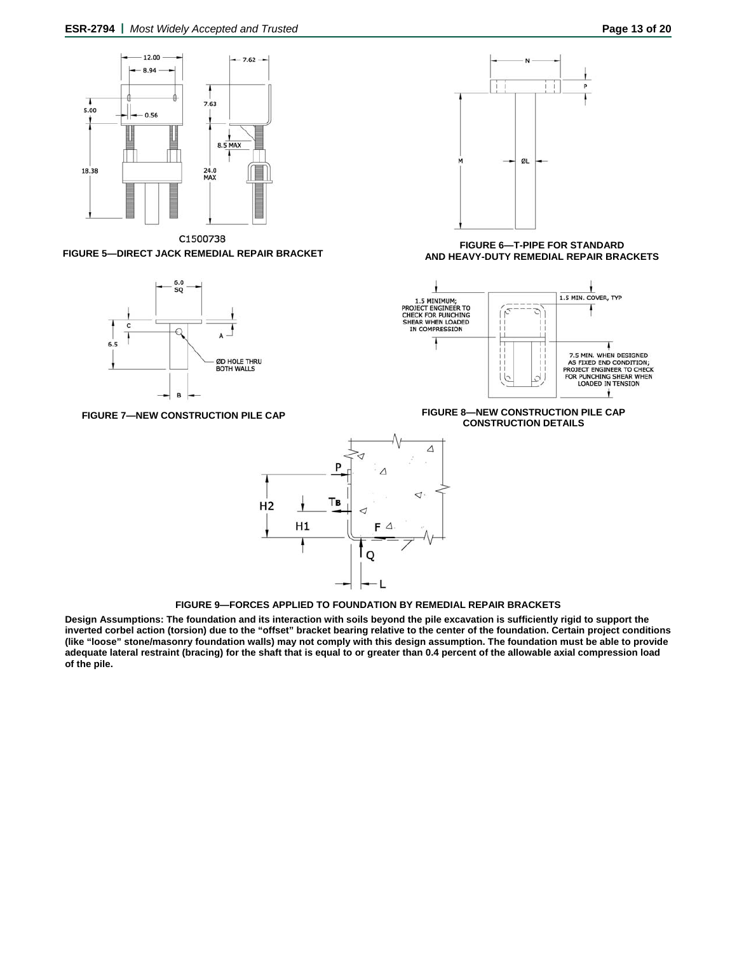



C1500738 **FIGURE 5—DIRECT JACK REMEDIAL REPAIR BRACKET**



**FIGURE 7—NEW CONSTRUCTION PILE CAP**



**FIGURE 9—FORCES APPLIED TO FOUNDATION BY REMEDIAL REPAIR BRACKETS**

**Design Assumptions: The foundation and its interaction with soils beyond the pile excavation is sufficiently rigid to support the inverted corbel action (torsion) due to the "offset" bracket bearing relative to the center of the foundation. Certain project conditions (like "loose" stone/masonry foundation walls) may not comply with this design assumption. The foundation must be able to provide adequate lateral restraint (bracing) for the shaft that is equal to or greater than 0.4 percent of the allowable axial compression load of the pile.** 



**FIGURE 6—T-PIPE FOR STANDARD AND HEAVY-DUTY REMEDIAL REPAIR BRACKETS** 



**FIGURE 8—NEW CONSTRUCTION PILE CAP CONSTRUCTION DETAILS**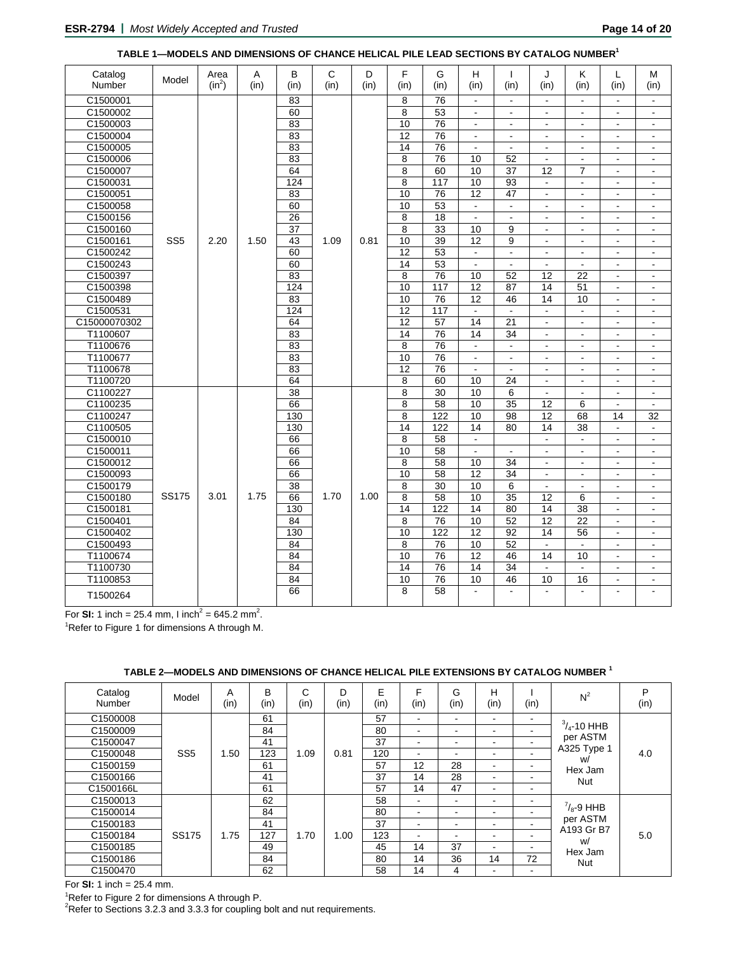| Catalog      |                 | Area     | A    | в               | C              | D    | F               | G                | H               | T                        | J                        | Κ                        | L                        | М                        |
|--------------|-----------------|----------|------|-----------------|----------------|------|-----------------|------------------|-----------------|--------------------------|--------------------------|--------------------------|--------------------------|--------------------------|
| Number       | Model           | $(in^2)$ | (in) | (in)            | (in)           | (in) | (in)            | (in)             | (in)            | (in)                     | (in)                     | (in)                     | (in)                     | (in)                     |
| C1500001     |                 |          |      | 83              |                |      | 8               | $\overline{76}$  | $\blacksquare$  |                          | $\blacksquare$           |                          | $\blacksquare$           | $\blacksquare$           |
| C1500002     |                 |          |      | 60              |                |      | 8               | 53               | $\blacksquare$  | $\blacksquare$           | $\blacksquare$           | $\overline{\phantom{0}}$ | $\blacksquare$           | $\blacksquare$           |
| C1500003     |                 |          |      | 83              |                |      | 10              | 76               | $\sim$          | $\overline{\phantom{a}}$ | $\blacksquare$           | $\blacksquare$           | $\sim$                   | $\blacksquare$           |
| C1500004     |                 |          |      | $\overline{83}$ |                |      | $\overline{12}$ | 76               | $\blacksquare$  | $\blacksquare$           | $\blacksquare$           | $\blacksquare$           | $\blacksquare$           | $\overline{a}$           |
| C1500005     |                 |          |      | 83              |                |      | 14              | 76               | $\blacksquare$  | $\blacksquare$           | $\blacksquare$           | $\blacksquare$           | $\overline{\phantom{a}}$ | $\blacksquare$           |
| C1500006     |                 |          |      | 83              |                |      | 8               | 76               | 10              | 52                       |                          |                          | $\blacksquare$           |                          |
| C1500007     |                 |          |      | 64              |                |      | 8               | 60               | 10              | 37                       | $\overline{12}$          | 7                        | $\blacksquare$           | $\blacksquare$           |
| C1500031     |                 |          |      | 124             |                |      | 8               | 117              | 10              | 93                       | $\sim$                   | $\blacksquare$           | $\overline{\phantom{a}}$ | $\blacksquare$           |
| C1500051     |                 |          |      | 83              |                |      | 10              | 76               | 12              | 47                       | $\blacksquare$           | $\blacksquare$           | $\blacksquare$           | $\blacksquare$           |
| C1500058     |                 |          |      | 60              |                |      | 10              | 53               | $\blacksquare$  | $\blacksquare$           | $\blacksquare$           | $\blacksquare$           | $\overline{\phantom{a}}$ | $\blacksquare$           |
| C1500156     |                 |          |      | 26              |                |      | 8               | 18               | $\sim$          | ÷,                       | $\overline{\phantom{a}}$ |                          | $\blacksquare$           |                          |
| C1500160     |                 |          |      | 37              |                |      | 8               | 33               | 10              | 9                        | $\overline{a}$           |                          | $\blacksquare$           | $\overline{\phantom{a}}$ |
| C1500161     | SS <sub>5</sub> | 2.20     | 1.50 | 43              | 1.09           | 0.81 | 10              | 39               | $\overline{12}$ | 9                        | $\blacksquare$           | $\blacksquare$           | $\overline{\phantom{a}}$ | $\blacksquare$           |
| C1500242     |                 |          |      | 60              |                |      | $\overline{12}$ | $\overline{53}$  | $\omega$        | $\blacksquare$           | $\blacksquare$           | $\blacksquare$           | $\blacksquare$           | $\blacksquare$           |
| C1500243     |                 |          |      | 60              |                |      | 14              | 53               | $\blacksquare$  | $\blacksquare$           | $\blacksquare$           | $\blacksquare$           | $\overline{\phantom{a}}$ | $\overline{\phantom{a}}$ |
| C1500397     |                 |          |      | 83              |                |      | 8               | 76               | 10              | 52                       | 12                       | 22                       | $\sim$                   | $\overline{a}$           |
| C1500398     |                 |          |      | 124             |                |      | 10              | 117              | 12              | 87                       | 14                       | 51                       | $\blacksquare$           | $\blacksquare$           |
| C1500489     |                 |          |      | 83              |                |      | 10              | 76               | 12              | 46                       | 14                       | 10                       | $\overline{\phantom{a}}$ | ۰                        |
| C1500531     |                 |          |      | 124             |                |      | 12              | $\overline{117}$ | $\blacksquare$  | $\blacksquare$           | $\blacksquare$           | $\blacksquare$           | $\blacksquare$           | $\blacksquare$           |
| C15000070302 |                 |          |      | 64              |                |      | 12              | 57               | 14              | 21                       | $\blacksquare$           | $\blacksquare$           | $\blacksquare$           | $\overline{\phantom{a}}$ |
| T1100607     |                 |          |      | 83              | 83<br>83<br>83 |      | $\overline{14}$ | 76               | 14              | 34                       | $\blacksquare$           | $\blacksquare$           | $\blacksquare$           | $\overline{a}$           |
| T1100676     |                 |          |      |                 |                |      | 8               | 76               | $\blacksquare$  | $\blacksquare$           | $\blacksquare$           | $\blacksquare$           | $\blacksquare$           | $\blacksquare$           |
| T1100677     |                 |          |      |                 |                |      | 10              | 76               | $\blacksquare$  | $\overline{\phantom{a}}$ | $\overline{\phantom{a}}$ |                          | $\overline{\phantom{a}}$ | $\overline{\phantom{a}}$ |
| T1100678     |                 |          |      |                 |                |      | 12              | 76               | $\blacksquare$  | $\blacksquare$           | $\blacksquare$           | $\blacksquare$           | $\blacksquare$           | $\blacksquare$           |
| T1100720     |                 |          |      | 64              |                |      | 8               | 60               | 10              | 24                       | $\blacksquare$           | $\blacksquare$           | $\blacksquare$           | $\blacksquare$           |
| C1100227     |                 |          |      | $\overline{38}$ |                |      | 8               | $\overline{30}$  | 10              | 6                        | $\blacksquare$           | $\blacksquare$           | $\blacksquare$           | $\overline{a}$           |
| C1100235     |                 |          |      | 66              |                |      | 8               | 58               | 10              | $\overline{35}$          | 12                       | 6                        | $\sim$                   | $\overline{\phantom{a}}$ |
| C1100247     |                 |          |      | 130             |                |      | 8               | $\overline{122}$ | 10              | 98                       | $\overline{12}$          | 68                       | 14                       | 32                       |
| C1100505     |                 |          |      | 130             |                |      | $\overline{14}$ | 122              | $\overline{14}$ | 80                       | 14                       | $\overline{38}$          | $\blacksquare$           | $\blacksquare$           |
| C1500010     |                 |          |      | 66              |                |      | 8               | 58               | $\blacksquare$  |                          | $\sim$                   | $\blacksquare$           | $\blacksquare$           | $\blacksquare$           |
| C1500011     |                 |          |      | 66              |                |      | 10              | 58               | $\blacksquare$  | $\blacksquare$           | $\blacksquare$           | $\blacksquare$           | $\blacksquare$           | $\blacksquare$           |
| C1500012     |                 |          |      | 66              |                |      | 8               | 58               | 10              | 34                       | $\blacksquare$           | $\blacksquare$           | $\overline{\phantom{a}}$ | $\blacksquare$           |
| C1500093     |                 |          |      | 66              |                |      | 10              | 58               | 12              | 34                       |                          |                          | $\overline{\phantom{a}}$ |                          |
| C1500179     |                 |          |      | $\overline{38}$ |                |      | 8               | $\overline{30}$  | 10              | 6                        | $\overline{a}$           |                          | $\blacksquare$           | $\blacksquare$           |
| C1500180     | <b>SS175</b>    | 3.01     | 1.75 | 66              | 1.70           | 1.00 | 8               | 58               | 10              | 35                       | 12                       | 6                        | $\overline{\phantom{a}}$ | $\blacksquare$           |
| C1500181     |                 |          |      | 130             |                |      | $\overline{14}$ | 122              | 14              | 80                       | 14                       | 38                       | $\blacksquare$           | $\blacksquare$           |
| C1500401     |                 |          |      | 84              |                |      | 8               | 76               | 10              | 52                       | $\overline{12}$          | $\overline{22}$          | $\blacksquare$           | $\blacksquare$           |
| C1500402     |                 |          |      | 130             |                |      | 10              | $\overline{122}$ | $\overline{12}$ | $\overline{92}$          | $\overline{14}$          | $\overline{56}$          | $\sim$                   | $\overline{a}$           |
| C1500493     |                 |          |      | 84              |                |      | 8               | 76               | 10              | 52                       | $\blacksquare$           | $\blacksquare$           | $\overline{\phantom{a}}$ | $\blacksquare$           |
| T1100674     |                 |          |      | 84              |                |      | 10              | 76               | 12              | 46                       | 14                       | 10                       | $\overline{\phantom{a}}$ | $\blacksquare$           |
| T1100730     |                 |          |      | 84              |                |      | $\overline{14}$ | 76               | 14              | 34                       | $\blacksquare$           | $\blacksquare$           | $\blacksquare$           | $\blacksquare$           |
| T1100853     |                 |          |      | 84              |                |      | 10              | 76               | 10              | 46                       | 10                       | 16                       | $\overline{a}$           | $\overline{a}$           |
| T1500264     |                 |          |      | 66              |                |      | 8               | 58               | $\mathbf{r}$    | $\overline{a}$           | $\mathbf{r}$             |                          | $\sim$                   |                          |

**TABLE 1—MODELS AND DIMENSIONS OF CHANCE HELICAL PILE LEAD SECTIONS BY CATALOG NUMBER1**

For **SI:** 1 inch = 25.4 mm,  $I$  inch<sup>2</sup> = 645.2 mm<sup>2</sup>.

Refer to Figure 1 for dimensions A through M.

| TABLE 2—MODELS AND DIMENSIONS OF CHANCE HELICAL PILE EXTENSIONS BY CATALOG NUMBER 1 |  |
|-------------------------------------------------------------------------------------|--|
|-------------------------------------------------------------------------------------|--|

| Catalog<br>Number | Model           | A<br>(in) | в<br>(in) | C<br>(in) | D<br>(in) | E<br>(in) | F<br>(in)      | G<br>(in)                | н<br>(in)                | (in)                     | $N^2$                  | P<br>(in) |
|-------------------|-----------------|-----------|-----------|-----------|-----------|-----------|----------------|--------------------------|--------------------------|--------------------------|------------------------|-----------|
| C1500008          |                 |           | 61        |           |           | 57        | $\blacksquare$ | $\overline{\phantom{a}}$ |                          | $\blacksquare$           |                        |           |
| C1500009          |                 |           | 84        |           |           | 80        | $\blacksquare$ | $\overline{\phantom{a}}$ |                          | $\blacksquare$           | $\frac{3}{4}$ -10 HHB  |           |
| C1500047          |                 |           | 41        |           |           | 37        | ۰              | -                        |                          | ۰.                       | per ASTM               |           |
| C1500048          | SS <sub>5</sub> | 1.50      | 123       | 1.09      | 0.81      | 120       | ۰              | ۰                        |                          | ۰.                       | A325 Type 1<br>W/      | 4.0       |
| C1500159          |                 |           | 61        |           |           | 57        | 12             | 28                       | $\overline{\phantom{a}}$ | ۰                        | Hex Jam                |           |
| C1500166          |                 |           | 41        |           |           | 37        | 14             | 28                       | -                        | $\overline{\phantom{0}}$ | <b>Nut</b>             |           |
| C1500166L         |                 |           | 61        |           |           | 57        | 14             | 47                       | ۰                        | -                        |                        |           |
| C1500013          |                 |           | 62        |           |           | 58        | ٠              | $\blacksquare$           | ۰.                       | ٠                        |                        |           |
| C1500014          |                 |           | 84        |           |           | 80        | $\blacksquare$ | $\overline{\phantom{a}}$ |                          | ۰.                       | $^{7}/_{8}$ -9 HHB     |           |
| C1500183          |                 |           | 41        |           |           | 37        | $\blacksquare$ | ۰                        | -                        | $\blacksquare$           | per ASTM<br>A193 Gr B7 |           |
| C1500184          | <b>SS175</b>    | 1.75      | 127       | 1.70      | 1.00      | 123       | $\blacksquare$ | ۰                        | ۰.                       | ۰                        | W/                     | 5.0       |
| C1500185          |                 |           | 49        |           |           | 45        | 14             | 37                       | -                        | $\overline{\phantom{0}}$ | Hex Jam                |           |
| C1500186          |                 |           | 84        |           |           | 80        | 14             | 36                       | 14                       | 72                       | <b>Nut</b>             |           |
| C1500470          |                 |           | 62        |           |           | 58        | 14             | 4                        |                          | $\blacksquare$           |                        |           |

For **SI:** 1 inch = 25.4 mm.

<sup>'</sup>Refer to Figure 2 for dimensions A through P.<br><sup>2</sup>Refer to Sections 3.2.3 and 3.3.3 for coupling bolt and nut requirements.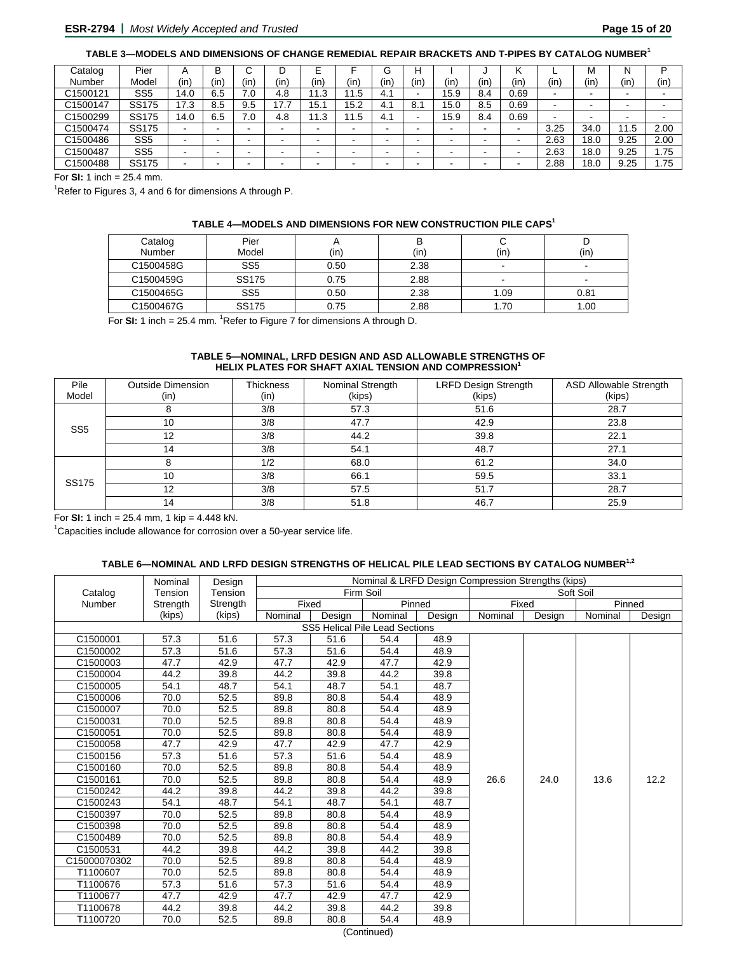| Catalog  | Pier            | А    | B   | ີ    |      |                             |      | G   | н    |      |      |      |                          | М    | N    | D      |
|----------|-----------------|------|-----|------|------|-----------------------------|------|-----|------|------|------|------|--------------------------|------|------|--------|
| Number   | Model           | (in) | (in | (in. | (in) | (in)                        | (in) | (in | (in) | (in  | (in. | (in, | (in)                     | (in  | (in  | (in)   |
| C1500121 | SS <sub>5</sub> | 14.0 | 6.5 | 7.0  | 4.8  | ົ<br>$\overline{A}$<br>د. ا | 1.5  | 4.1 |      | 15.9 | 8.4  | 0.69 | $\overline{\phantom{0}}$ | -    |      | $\sim$ |
| C1500147 | <b>SS175</b>    | 17.3 | 8.5 | 9.5  | 17.7 | 15.                         | 15.2 | 4.1 | 8.1  | 15.0 | 8.5  | 0.69 |                          |      |      |        |
| C1500299 | <b>SS175</b>    | 14.0 | 6.5 | 7.0  | 4.8  | ົ<br>ں. ا                   | 1.5  | 4.1 |      | 15.9 | 8.4  | 0.69 |                          |      |      |        |
| C1500474 | <b>SS175</b>    | -    | -   |      |      |                             | -    | -   |      | -    |      |      | 3.25                     | 34.0 | 11.5 | 2.00   |
| C1500486 | SS <sub>5</sub> | -    | -   |      |      |                             | -    | -   |      |      |      |      | 2.63                     | 18.0 | 9.25 | 2.00   |
| C1500487 | SS <sub>5</sub> | -    |     |      |      |                             |      | -   |      |      |      |      | 2.63                     | 18.0 | 9.25 | 1.75   |
| C1500488 | <b>SS175</b>    |      | -   |      |      |                             |      | -   |      |      |      |      | 2.88                     | 18.0 | 9.25 | 1.75   |

For **SI:** 1 inch = 25.4 mm.

<sup>1</sup>Refer to Figures 3, 4 and 6 for dimensions A through P.

#### **TABLE 4—MODELS AND DIMENSIONS FOR NEW CONSTRUCTION PILE CAPS<sup>1</sup>**

| Catalog<br>Number | Pier<br>Model   | (in) | (in) | (in) | (in)                     |
|-------------------|-----------------|------|------|------|--------------------------|
| C1500458G         | SS <sub>5</sub> | 0.50 | 2.38 | -    | -                        |
| C1500459G         | <b>SS175</b>    | 0.75 | 2.88 | -    | $\overline{\phantom{0}}$ |
| C1500465G         | SS <sub>5</sub> | 0.50 | 2.38 | 1.09 | 0.81                     |
| C1500467G         | <b>SS175</b>    | 0.75 | 2.88 | 1.70 | 1.00                     |

For **SI:** 1 inch = 25.4 mm. <sup>1</sup>Refer to Figure 7 for dimensions A through D.

# **TABLE 5—NOMINAL, LRFD DESIGN AND ASD ALLOWABLE STRENGTHS OF HELIX PLATES FOR SHAFT AXIAL TENSION AND COMPRESSION1**

| Pile<br>Model   | <b>Outside Dimension</b><br>(in) | <b>Thickness</b><br>(in) | Nominal Strength<br>(kips) | <b>LRFD Design Strength</b><br>(kips) | <b>ASD Allowable Strength</b><br>(kips) |
|-----------------|----------------------------------|--------------------------|----------------------------|---------------------------------------|-----------------------------------------|
|                 |                                  | 3/8                      | 57.3                       | 51.6                                  | 28.7                                    |
| SS <sub>5</sub> | 10                               | 3/8                      | 47.7                       | 42.9                                  | 23.8                                    |
|                 | 12                               | 3/8                      | 44.2                       | 39.8                                  | 22.1                                    |
|                 | 14                               | 3/8                      | 54.1                       | 48.7                                  | 27.1                                    |
|                 |                                  | 1/2                      | 68.0                       | 61.2                                  | 34.0                                    |
|                 | 10                               | 3/8                      | 66.1                       | 59.5                                  | 33.1                                    |
| SS175           | 12                               | 3/8                      | 57.5                       | 51.7                                  | 28.7                                    |
|                 | 14                               | 3/8                      | 51.8                       | 46.7                                  | 25.9                                    |

For **SI:** 1 inch =  $25.4$  mm, 1 kip =  $4.448$  kN.

<sup>1</sup>Capacities include allowance for corrosion over a 50-year service life.

#### **TABLE 6—NOMINAL AND LRFD DESIGN STRENGTHS OF HELICAL PILE LEAD SECTIONS BY CATALOG NUMBER1,2**

|               | Nominal  | Design   | Nominal & LRFD Design Compression Strengths (kips) |        |                                |        |         |        |           |        |  |  |  |  |
|---------------|----------|----------|----------------------------------------------------|--------|--------------------------------|--------|---------|--------|-----------|--------|--|--|--|--|
| Catalog       | Tension  | Tension  |                                                    |        | Firm Soil                      |        |         |        | Soft Soil |        |  |  |  |  |
| <b>Number</b> | Strength | Strength | Fixed                                              |        | Pinned                         |        | Fixed   |        |           | Pinned |  |  |  |  |
|               | (kips)   | (kips)   | Nominal                                            | Design | Nominal                        | Design | Nominal | Design | Nominal   | Design |  |  |  |  |
|               |          |          |                                                    |        | SS5 Helical Pile Lead Sections |        |         |        |           |        |  |  |  |  |
| C1500001      | 57.3     | 51.6     | 57.3                                               | 51.6   | 54.4                           | 48.9   |         |        |           |        |  |  |  |  |
| C1500002      | 57.3     | 51.6     | 57.3                                               | 51.6   | 54.4                           | 48.9   |         |        |           |        |  |  |  |  |
| C1500003      | 47.7     | 42.9     | 47.7                                               | 42.9   | 47.7                           | 42.9   |         |        |           |        |  |  |  |  |
| C1500004      | 44.2     | 39.8     | 44.2                                               | 39.8   | 44.2                           | 39.8   |         |        |           |        |  |  |  |  |
| C1500005      | 54.1     | 48.7     | 54.1                                               | 48.7   | 54.1                           | 48.7   |         |        |           |        |  |  |  |  |
| C1500006      | 70.0     | 52.5     | 89.8                                               | 80.8   | 54.4                           | 48.9   |         |        |           |        |  |  |  |  |
| C1500007      | 70.0     | 52.5     | 89.8                                               | 80.8   | 54.4                           | 48.9   |         |        |           |        |  |  |  |  |
| C1500031      | 70.0     | 52.5     | 89.8                                               | 80.8   | 54.4                           | 48.9   |         |        |           |        |  |  |  |  |
| C1500051      | 70.0     | 52.5     | 89.8                                               | 80.8   | 54.4                           | 48.9   |         |        |           |        |  |  |  |  |
| C1500058      | 47.7     | 42.9     | 47.7                                               | 42.9   | 47.7                           | 42.9   |         |        |           |        |  |  |  |  |
| C1500156      | 57.3     | 51.6     | 57.3                                               | 51.6   | 54.4                           | 48.9   |         |        |           |        |  |  |  |  |
| C1500160      | 70.0     | 52.5     | 89.8                                               | 80.8   | 54.4                           | 48.9   |         |        |           |        |  |  |  |  |
| C1500161      | 70.0     | 52.5     | 89.8                                               | 80.8   | 54.4                           | 48.9   | 26.6    | 24.0   | 13.6      | 12.2   |  |  |  |  |
| C1500242      | 44.2     | 39.8     | 44.2                                               | 39.8   | 44.2                           | 39.8   |         |        |           |        |  |  |  |  |
| C1500243      | 54.1     | 48.7     | 54.1                                               | 48.7   | 54.1                           | 48.7   |         |        |           |        |  |  |  |  |
| C1500397      | 70.0     | 52.5     | 89.8                                               | 80.8   | 54.4                           | 48.9   |         |        |           |        |  |  |  |  |
| C1500398      | 70.0     | 52.5     | 89.8                                               | 80.8   | 54.4                           | 48.9   |         |        |           |        |  |  |  |  |
| C1500489      | 70.0     | 52.5     | 89.8                                               | 80.8   | 54.4                           | 48.9   |         |        |           |        |  |  |  |  |
| C1500531      | 44.2     | 39.8     | 44.2                                               | 39.8   | 44.2                           | 39.8   |         |        |           |        |  |  |  |  |
| C15000070302  | 70.0     | 52.5     | 89.8                                               | 80.8   | 54.4                           | 48.9   |         |        |           |        |  |  |  |  |
| T1100607      | 70.0     | 52.5     | 89.8                                               | 80.8   | 54.4                           | 48.9   |         |        |           |        |  |  |  |  |
| T1100676      | 57.3     | 51.6     | 57.3                                               | 51.6   | 54.4                           | 48.9   |         |        |           |        |  |  |  |  |
| T1100677      | 47.7     | 42.9     | 47.7                                               | 42.9   | 47.7                           | 42.9   |         |        |           |        |  |  |  |  |
| T1100678      | 44.2     | 39.8     | 44.2                                               | 39.8   | 44.2                           | 39.8   |         |        |           |        |  |  |  |  |
| T1100720      | 70.0     | 52.5     | 89.8                                               | 80.8   | 54.4                           | 48.9   |         |        |           |        |  |  |  |  |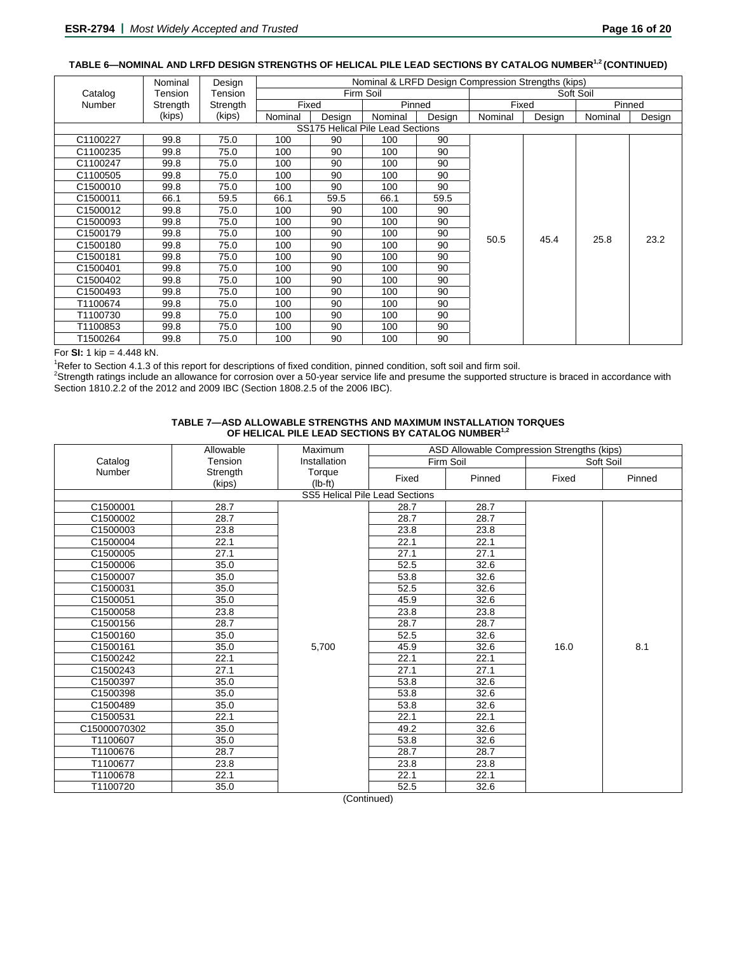## **TABLE 6—NOMINAL AND LRFD DESIGN STRENGTHS OF HELICAL PILE LEAD SECTIONS BY CATALOG NUMBER1,2 (CONTINUED)**

|          | Nominal  | Design   | Nominal & LRFD Design Compression Strengths (kips) |        |                                  |        |         |        |           |        |  |  |  |
|----------|----------|----------|----------------------------------------------------|--------|----------------------------------|--------|---------|--------|-----------|--------|--|--|--|
| Catalog  | Tension  | Tension  |                                                    |        | Firm Soil                        |        |         |        | Soft Soil |        |  |  |  |
| Number   | Strength | Strength | Fixed                                              |        | Pinned                           |        | Fixed   |        | Pinned    |        |  |  |  |
|          | (kips)   | (kips)   | Nominal                                            | Design | Nominal                          | Design | Nominal | Design | Nominal   | Design |  |  |  |
|          |          |          |                                                    |        | SS175 Helical Pile Lead Sections |        |         |        |           |        |  |  |  |
| C1100227 | 99.8     | 75.0     | 100                                                | 90     | 100                              | 90     |         |        |           |        |  |  |  |
| C1100235 | 99.8     | 75.0     | 100                                                | 90     | 100                              | 90     |         |        |           |        |  |  |  |
| C1100247 | 99.8     | 75.0     | 100                                                | 90     | 100                              | 90     |         |        |           |        |  |  |  |
| C1100505 | 99.8     | 75.0     | 100                                                | 90     | 100                              | 90     |         |        |           |        |  |  |  |
| C1500010 | 99.8     | 75.0     | 100                                                | 90     | 100                              | 90     |         |        |           |        |  |  |  |
| C1500011 | 66.1     | 59.5     | 66.1                                               | 59.5   | 66.1                             | 59.5   |         |        |           |        |  |  |  |
| C1500012 | 99.8     | 75.0     | 100                                                | 90     | 100                              | 90     |         |        |           |        |  |  |  |
| C1500093 | 99.8     | 75.0     | 100                                                | 90     | 100                              | 90     |         |        |           |        |  |  |  |
| C1500179 | 99.8     | 75.0     | 100                                                | 90     | 100                              | 90     |         | 45.4   | 25.8      |        |  |  |  |
| C1500180 | 99.8     | 75.0     | 100                                                | 90     | 100                              | 90     | 50.5    |        |           | 23.2   |  |  |  |
| C1500181 | 99.8     | 75.0     | 100                                                | 90     | 100                              | 90     |         |        |           |        |  |  |  |
| C1500401 | 99.8     | 75.0     | 100                                                | 90     | 100                              | 90     |         |        |           |        |  |  |  |
| C1500402 | 99.8     | 75.0     | 100                                                | 90     | 100                              | 90     |         |        |           |        |  |  |  |
| C1500493 | 99.8     | 75.0     | 100                                                | 90     | 100                              | 90     |         |        |           |        |  |  |  |
| T1100674 | 99.8     | 75.0     | 100                                                | 90     | 100                              | 90     |         |        |           |        |  |  |  |
| T1100730 | 99.8     | 75.0     | 100                                                | 90     | 100                              | 90     |         |        |           |        |  |  |  |
| T1100853 | 99.8     | 75.0     | 100                                                | 90     | 100                              | 90     |         |        |           |        |  |  |  |
| T1500264 | 99.8     | 75.0     | 100                                                | 90     | 100                              | 90     |         |        |           |        |  |  |  |

#### For **SI:** 1 kip = 4.448 kN.

Refer to Section 4.1.3 of this report for descriptions of fixed condition, pinned condition, soft soil and firm soil.

Strength ratings include an allowance for corrosion over a 50-year service life and presume the supported structure is braced in accordance with Section 1810.2.2 of the 2012 and 2009 IBC (Section 1808.2.5 of the 2006 IBC).

#### **TABLE 7—ASD ALLOWABLE STRENGTHS AND MAXIMUM INSTALLATION TORQUES**  OF HELICAL PILE LEAD SECTIONS BY CATALOG NUMBER<sup>1,2</sup>

|              | Allowable | ASD Allowable Compression Strengths (kips)<br>Maximum |                                |           |       |           |  |  |  |  |  |
|--------------|-----------|-------------------------------------------------------|--------------------------------|-----------|-------|-----------|--|--|--|--|--|
| Catalog      | Tension   | Installation                                          |                                | Firm Soil |       | Soft Soil |  |  |  |  |  |
| Number       | Strength  | Torque                                                | Fixed                          | Pinned    | Fixed | Pinned    |  |  |  |  |  |
|              | (kips)    | $(lb-ft)$                                             |                                |           |       |           |  |  |  |  |  |
|              |           |                                                       | SS5 Helical Pile Lead Sections |           |       |           |  |  |  |  |  |
| C1500001     | 28.7      |                                                       | 28.7                           | 28.7      |       |           |  |  |  |  |  |
| C1500002     | 28.7      |                                                       | 28.7                           | 28.7      |       |           |  |  |  |  |  |
| C1500003     | 23.8      |                                                       | 23.8                           | 23.8      |       |           |  |  |  |  |  |
| C1500004     | 22.1      |                                                       | 22.1                           | 22.1      |       |           |  |  |  |  |  |
| C1500005     | 27.1      |                                                       | 27.1                           | 27.1      |       |           |  |  |  |  |  |
| C1500006     | 35.0      |                                                       | 52.5                           | 32.6      |       |           |  |  |  |  |  |
| C1500007     | 35.0      |                                                       | 53.8                           | 32.6      |       |           |  |  |  |  |  |
| C1500031     | 35.0      |                                                       | 52.5                           | 32.6      |       |           |  |  |  |  |  |
| C1500051     | 35.0      |                                                       | 45.9                           | 32.6      |       |           |  |  |  |  |  |
| C1500058     | 23.8      |                                                       | 23.8                           | 23.8      |       |           |  |  |  |  |  |
| C1500156     | 28.7      |                                                       | 28.7                           | 28.7      |       |           |  |  |  |  |  |
| C1500160     | 35.0      |                                                       | 52.5                           | 32.6      |       |           |  |  |  |  |  |
| C1500161     | 35.0      | 5,700                                                 | 45.9                           | 32.6      | 16.0  | 8.1       |  |  |  |  |  |
| C1500242     | 22.1      |                                                       | 22.1                           | 22.1      |       |           |  |  |  |  |  |
| C1500243     | 27.1      |                                                       | 27.1                           | 27.1      |       |           |  |  |  |  |  |
| C1500397     | 35.0      |                                                       | 53.8                           | 32.6      |       |           |  |  |  |  |  |
| C1500398     | 35.0      |                                                       | 53.8                           | 32.6      |       |           |  |  |  |  |  |
| C1500489     | 35.0      |                                                       | 53.8                           | 32.6      |       |           |  |  |  |  |  |
| C1500531     | 22.1      |                                                       | 22.1                           | 22.1      |       |           |  |  |  |  |  |
| C15000070302 | 35.0      |                                                       | 49.2                           | 32.6      |       |           |  |  |  |  |  |
| T1100607     | 35.0      |                                                       | 53.8                           | 32.6      |       |           |  |  |  |  |  |
| T1100676     | 28.7      |                                                       | 28.7                           | 28.7      |       |           |  |  |  |  |  |
| T1100677     | 23.8      |                                                       | 23.8                           | 23.8      |       |           |  |  |  |  |  |
| T1100678     | 22.1      |                                                       | 22.1                           | 22.1      |       |           |  |  |  |  |  |
| T1100720     | 35.0      |                                                       | 52.5                           | 32.6      |       |           |  |  |  |  |  |

(Continued)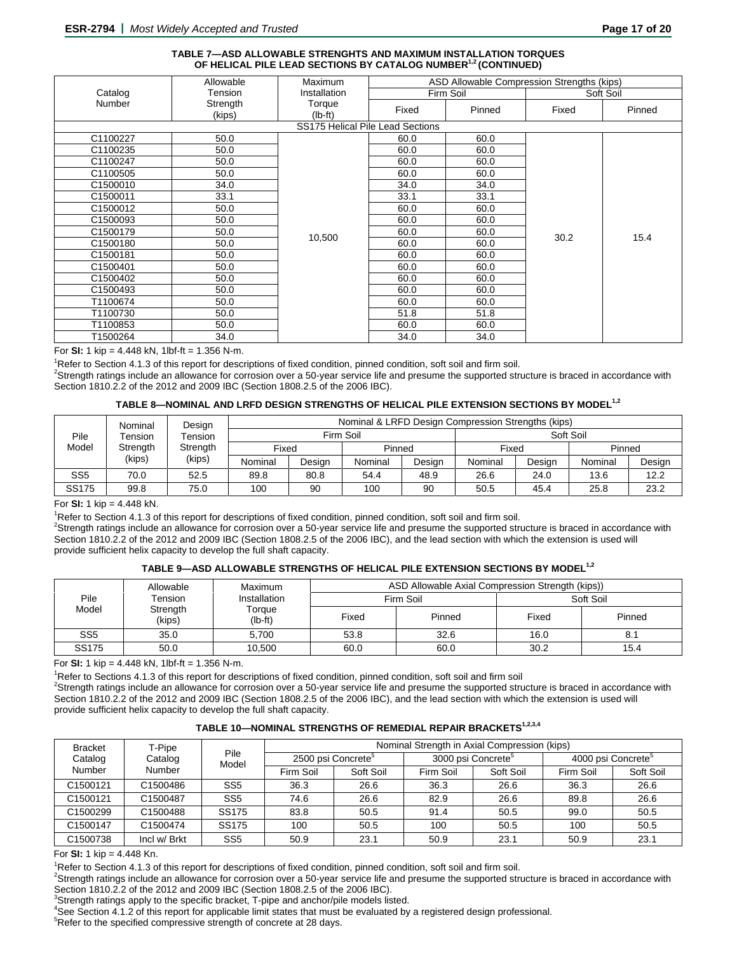#### **TABLE 7—ASD ALLOWABLE STRENGHTS AND MAXIMUM INSTALLATION TORQUES**  OF HELICAL PILE LEAD SECTIONS BY CATALOG NUMBER<sup>1,2</sup> (CONTINUED)

|          | Allowable          | <b>Maximum</b>      |                                  | ASD Allowable Compression Strengths (kips) |       |           |  |  |
|----------|--------------------|---------------------|----------------------------------|--------------------------------------------|-------|-----------|--|--|
| Catalog  | Tension            | Installation        |                                  | Firm Soil                                  |       | Soft Soil |  |  |
| Number   | Strength<br>(kips) | Torque<br>$(lb-ft)$ | Fixed                            | Pinned                                     | Fixed | Pinned    |  |  |
|          |                    |                     | SS175 Helical Pile Lead Sections |                                            |       |           |  |  |
| C1100227 | 50.0               |                     | 60.0                             | 60.0                                       |       |           |  |  |
| C1100235 | 50.0               |                     | 60.0                             | 60.0                                       |       |           |  |  |
|          |                    |                     |                                  |                                            |       |           |  |  |
| C1100247 | 50.0               |                     | 60.0                             | 60.0                                       |       |           |  |  |
| C1100505 | 50.0               |                     | 60.0                             | 60.0                                       |       |           |  |  |
| C1500010 | 34.0               |                     | 34.0                             | 34.0                                       |       |           |  |  |
| C1500011 | 33.1               |                     | 33.1                             | 33.1                                       |       |           |  |  |
| C1500012 | 50.0               |                     | 60.0                             | 60.0                                       |       |           |  |  |
| C1500093 | 50.0               |                     | 60.0                             | 60.0                                       |       |           |  |  |
| C1500179 | 50.0               | 10,500              | 60.0                             | 60.0                                       | 30.2  | 15.4      |  |  |
| C1500180 | 50.0               |                     | 60.0                             | 60.0                                       |       |           |  |  |
| C1500181 | 50.0               |                     | 60.0                             | 60.0                                       |       |           |  |  |
| C1500401 | 50.0               |                     | 60.0                             | 60.0                                       |       |           |  |  |
| C1500402 | 50.0               |                     | 60.0                             | 60.0                                       |       |           |  |  |
| C1500493 | 50.0               |                     | 60.0                             | 60.0                                       |       |           |  |  |
| T1100674 | 50.0               |                     | 60.0                             | 60.0                                       |       |           |  |  |
| T1100730 | 50.0               |                     | 51.8                             | 51.8                                       |       |           |  |  |
| T1100853 | 50.0               |                     | 60.0                             | 60.0                                       |       |           |  |  |
| T1500264 | 34.0               |                     | 34.0                             | 34.0                                       |       |           |  |  |

For **SI:** 1 kip =  $4.448$  kN, 1lbf-ft =  $1.356$  N-m.

<sup>1</sup>Refer to Section 4.1.3 of this report for descriptions of fixed condition, pinned condition, soft soil and firm soil.

<sup>2</sup>Strength ratings include an allowance for corrosion over a 50-year service life and presume the supported structure is braced in accordance with Section 1810.2.2 of the 2012 and 2009 IBC (Section 1808.2.5 of the 2006 IBC).

#### **TABLE 8—NOMINAL AND LRFD DESIGN STRENGTHS OF HELICAL PILE EXTENSION SECTIONS BY MODEL1,2**

|                                                                                 | Nominal | Design  | Nominal & LRFD Design Compression Strengths (kips) |           |        |         |           |         |        |      |  |  |
|---------------------------------------------------------------------------------|---------|---------|----------------------------------------------------|-----------|--------|---------|-----------|---------|--------|------|--|--|
| Pile<br>Tension<br>Tension<br>Model<br>Strength<br>Strength<br>(kips)<br>(kips) |         |         |                                                    | Firm Soil |        |         | Soft Soil |         |        |      |  |  |
|                                                                                 |         | Fixed   |                                                    | Pinned    |        | Fixed   |           | Pinned  |        |      |  |  |
|                                                                                 |         | Nominal | Design                                             | Nominal   | Design | Nominal | Design    | Nominal | Design |      |  |  |
| SS <sub>5</sub>                                                                 | 70.0    | 52.5    | 89.8                                               | 80.8      | 54.4   | 48.9    | 26.6      | 24.0    | 13.6   | 12.2 |  |  |
| SS175                                                                           | 99.8    | 75.0    | 100                                                | 90        | 100    | 90      | 50.5      | 45.4    | 25.8   | 23.2 |  |  |

#### For **SI:** 1 kip = 4.448 kN. 1

<sup>1</sup>Refer to Section 4.1.3 of this report for descriptions of fixed condition, pinned condition, soft soil and firm soil.

<sup>2</sup>Strength ratings include an allowance for corrosion over a 50-year service life and presume the supported structure is braced in accordance with Section 1810.2.2 of the 2012 and 2009 IBC (Section 1808.2.5 of the 2006 IBC), and the lead section with which the extension is used will provide sufficient helix capacity to develop the full shaft capacity.

#### TABLE 9-ASD ALLOWABLE STRENGTHS OF HELICAL PILE EXTENSION SECTIONS BY MODEL<sup>1,2</sup>

|                 | Allowable               | Maximum             |       | ASD Allowable Axial Compression Strength (kips)) |           |        |  |
|-----------------|-------------------------|---------------------|-------|--------------------------------------------------|-----------|--------|--|
| Pile            | Tension<br>Installation |                     |       | Firm Soil                                        | Soft Soil |        |  |
| Model           | Strength<br>(kips)      | Torque<br>$(lb-ft)$ | Fixed | Pinned                                           | Fixed     | Pinned |  |
| SS <sub>5</sub> | 35.0                    | 5.700               | 53.8  | 32.6                                             | 16.0      | 8.     |  |
| SS175           | 50.0                    | 10,500              | 60.0  | 60.0                                             | 30.2      | 15.4   |  |

For **SI:** 1 kip =  $4.448$  kN, 1lbf-ft =  $1.356$  N-m.

<sup>1</sup>Refer to Sections 4.1.3 of this report for descriptions of fixed condition, pinned condition, soft soil and firm soil  $2$ Strength ratings include an allowance for corrosion over a 50-year service life and presume the supported structure is braced in accordance with Section 1810.2.2 of the 2012 and 2009 IBC (Section 1808.2.5 of the 2006 IBC), and the lead section with which the extension is used will provide sufficient helix capacity to develop the full shaft capacity.

#### **TABLE 10—NOMINAL STRENGTHS OF REMEDIAL REPAIR BRACKETS1,2,3,4**

| <b>Bracket</b> | T-Pipe               |                 | Nominal Strength in Axial Compression (kips) |           |                                |           |                                |           |  |  |  |  |
|----------------|----------------------|-----------------|----------------------------------------------|-----------|--------------------------------|-----------|--------------------------------|-----------|--|--|--|--|
| Catalog        | Catalog              | Pile<br>Model   | 2500 psi Concrete <sup>5</sup>               |           | 3000 psi Concrete <sup>5</sup> |           | 4000 psi Concrete <sup>5</sup> |           |  |  |  |  |
| Number         | Number               |                 | Firm Soil                                    | Soft Soil | Firm Soil                      | Soft Soil | Firm Soil                      | Soft Soil |  |  |  |  |
| C1500121       | C1500486             | SS <sub>5</sub> | 36.3                                         | 26.6      | 36.3                           | 26.6      | 36.3                           | 26.6      |  |  |  |  |
| C1500121       | C1500487             | SS <sub>5</sub> | 74.6                                         | 26.6      | 82.9                           | 26.6      | 89.8                           | 26.6      |  |  |  |  |
| C1500299       | C1500488             | SS175           | 83.8                                         | 50.5      | 91.4                           | 50.5      | 99.0                           | 50.5      |  |  |  |  |
| C1500147       | C <sub>1500474</sub> | SS175           | 100                                          | 50.5      | 100                            | 50.5      | 100                            | 50.5      |  |  |  |  |
| C1500738       | Incl w/ Brkt         | SS <sub>5</sub> | 50.9                                         | 23.1      | 50.9                           | 23.1      | 50.9                           | 23.1      |  |  |  |  |

For **SI:** 1 kip = 4.448 Kn.

<sup>1</sup>Refer to Section 4.1.3 of this report for descriptions of fixed condition, pinned condition, soft soil and firm soil.

<sup>2</sup>Strength ratings include an allowance for corrosion over a 50-year service life and presume the supported structure is braced in accordance with

Section 1810.2.2 of the 2012 and 2009 IBC (Section 1808.2.5 of the 2006 IBC).<br><sup>3</sup>Strength ratings apply to the specific bracket, T-pipe and anchor/pile models listed.

4 See Section 4.1.2 of this report for applicable limit states that must be evaluated by a registered design professional.

<sup>5</sup>Refer to the specified compressive strength of concrete at 28 days.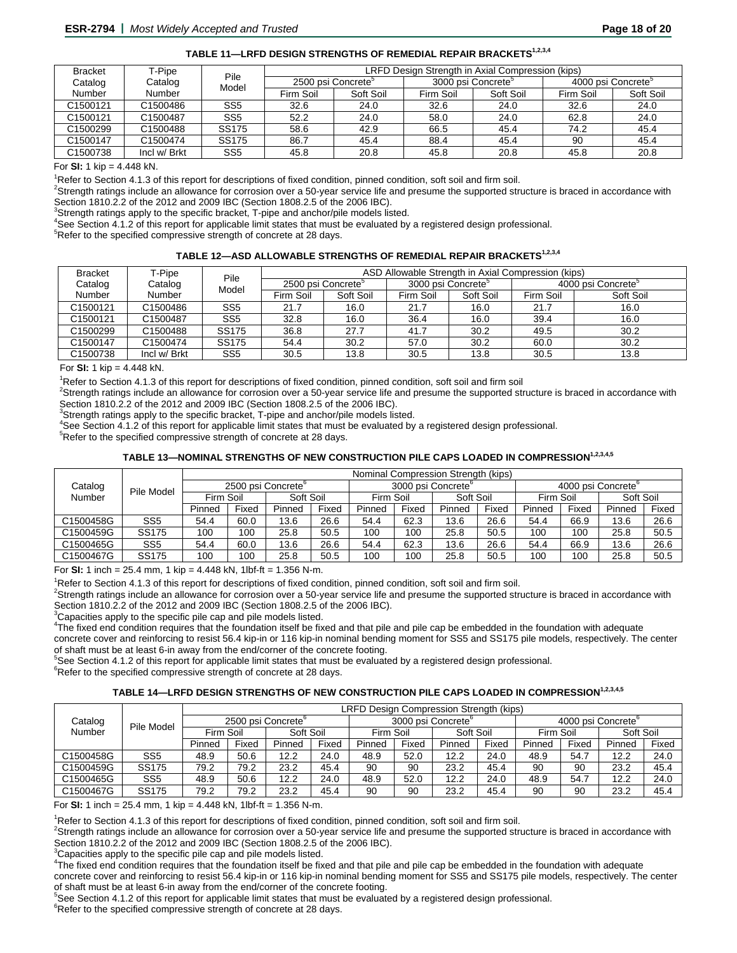| <b>Bracket</b> | T-Pipe       | Pile            |                                |           | LRFD Design Strength in Axial Compression (kips) |           |                                |           |  |
|----------------|--------------|-----------------|--------------------------------|-----------|--------------------------------------------------|-----------|--------------------------------|-----------|--|
| Catalog        | Catalog      | Model           | 2500 psi Concrete <sup>®</sup> |           | 3000 psi Concrete <sup>5</sup>                   |           | 4000 psi Concrete <sup>3</sup> |           |  |
| Number         | Number       |                 | Firm Soil                      | Soft Soil | Firm Soil                                        | Soft Soil | Firm Soil                      | Soft Soil |  |
| C1500121       | C1500486     | SS <sub>5</sub> | 32.6                           | 24.0      | 32.6                                             | 24.0      | 32.6                           | 24.0      |  |
| C1500121       | C1500487     | SS5             | 52.2                           | 24.0      | 58.0                                             | 24.0      | 62.8                           | 24.0      |  |
| C1500299       | C1500488     | <b>SS175</b>    | 58.6                           | 42.9      | 66.5                                             | 45.4      | 74.2                           | 45.4      |  |
| C1500147       | C1500474     | <b>SS175</b>    | 86.7                           | 45.4      | 88.4                                             | 45.4      | 90                             | 45.4      |  |
| C1500738       | Incl w/ Brkt | SS <sub>5</sub> | 45.8                           | 20.8      | 45.8                                             | 20.8      | 45.8                           | 20.8      |  |

For **SI:** 1 kip =  $4.448$  kN.

<sup>1</sup>Refer to Section 4.1.3 of this report for descriptions of fixed condition, pinned condition, soft soil and firm soil.

<sup>2</sup>Strength ratings include an allowance for corrosion over a 50-year service life and presume the supported structure is braced in accordance with Section 1810.2.2 of the 2012 and 2009 IBC (Section 1808.2.5 of the 2006 IBC).

 $3$ Strength ratings apply to the specific bracket, T-pipe and anchor/pile models listed.

<sup>4</sup>See Section 4.1.2 of this report for applicable limit states that must be evaluated by a registered design professional.<br><sup>5</sup> Peter to the appelling compressive strength of conserts at 29 days.

 $5$ Refer to the specified compressive strength of concrete at 28 days.

#### **TABLE 12—ASD ALLOWABLE STRENGTHS OF REMEDIAL REPAIR BRACKETS1,2,3,4**

| <b>Bracket</b>       | T-Pipe       | Pile            |           |                                |           | ASD Allowable Strength in Axial Compression (kips) |           |                                |
|----------------------|--------------|-----------------|-----------|--------------------------------|-----------|----------------------------------------------------|-----------|--------------------------------|
| Catalog              | Catalog      | Model           |           | 2500 psi Concrete <sup>5</sup> |           | 3000 psi Concrete <sup>5</sup>                     |           | 4000 psi Concrete <sup>5</sup> |
| Number               | Number       |                 | Firm Soil | Soft Soil                      | Firm Soil | Soft Soil                                          | Firm Soil | Soft Soil                      |
| C <sub>1500121</sub> | C1500486     | SS <sub>5</sub> | 21.7      | 16.0                           | 21.7      | 16.0                                               | 21.7      | 16.0                           |
| C1500121             | C1500487     | SS <sub>5</sub> | 32.8      | 16.0                           | 36.4      | 16.0                                               | 39.4      | 16.0                           |
| C1500299             | C1500488     | <b>SS175</b>    | 36.8      | 27.7                           | 41.7      | 30.2                                               | 49.5      | 30.2                           |
| C1500147             | C1500474     | <b>SS175</b>    | 54.4      | 30.2                           | 57.0      | 30.2                                               | 60.0      | 30.2                           |
| C1500738             | Incl w/ Brkt | SS <sub>5</sub> | 30.5      | 13.8                           | 30.5      | 13.8                                               | 30.5      | 13.8                           |

For **SI:** 1 kip = 4.448 kN. 1

Refer to Section 4.1.3 of this report for descriptions of fixed condition, pinned condition, soft soil and firm soil

 $2$ Strength ratings include an allowance for corrosion over a 50-year service life and presume the supported structure is braced in accordance with Section 1810.2.2 of the 2012 and 2009 IBC (Section 1808.2.5 of the 2006 IBC).

 $3$ Strength ratings apply to the specific bracket, T-pipe and anchor/pile models listed.

4 See Section 4.1.2 of this report for applicable limit states that must be evaluated by a registered design professional.

<sup>5</sup>Refer to the specified compressive strength of concrete at 28 days.

#### TABLE 13—NOMINAL STRENGTHS OF NEW CONSTRUCTION PILE CAPS LOADED IN COMPRESSION<sup>1,2,3,4,5</sup>

|           |                 |           |       |                                |       |           |       | Nominal Compression Strength (kips) |       |                                |       |           |       |
|-----------|-----------------|-----------|-------|--------------------------------|-------|-----------|-------|-------------------------------------|-------|--------------------------------|-------|-----------|-------|
| Catalog   | Pile Model      |           |       | 2500 psi Concrete <sup>o</sup> |       |           |       | 3000 psi Concrete <sup>b</sup>      |       | 4000 psi Concrete <sup>b</sup> |       |           |       |
| Number    |                 | Firm Soil |       | Soft Soil                      |       | Firm Soil |       | Soft Soil                           |       | Firm Soil                      |       | Soft Soil |       |
|           |                 | Pinned    | Fixed | Pinned                         | Fixed | Pinned    | Fixed | Pinned                              | Fixed | Pinned                         | Fixed | Pinned    | Fixed |
| C1500458G | SS <sub>5</sub> | 54.4      | 60.0  | 13.6                           | 26.6  | 54.4      | 62.3  | 13.6                                | 26.6  | 54.4                           | 66.9  | 13.6      | 26.6  |
| C1500459G | SS175           | 100       | 100   | 25.8                           | 50.5  | 100       | 100   | 25.8                                | 50.5  | 100                            | 100   | 25.8      | 50.5  |
| C1500465G | SS <sub>5</sub> | 54.4      | 60.0  | 13.6                           | 26.6  | 54.4      | 62.3  | 13.6                                | 26.6  | 54.4                           | 66.9  | 13.6      | 26.6  |
| C1500467G | <b>SS175</b>    | 100       | 100   | 25.8                           | 50.5  | 100       | 100   | 25.8                                | 50.5  | 100                            | 100   | 25.8      | 50.5  |

For **SI:** 1 inch = 25.4 mm, 1 kip = 4.448 kN, 1lbf-ft = 1.356 N-m.

<sup>1</sup>Refer to Section 4.1.3 of this report for descriptions of fixed condition, pinned condition, soft soil and firm soil.<br><sup>2</sup>Ctraggib setings include an ellowance for expresion aver a 50 year service life and presume the s

 $2$ Strength ratings include an allowance for corrosion over a 50-year service life and presume the supported structure is braced in accordance with Section 1810.2.2 of the 2012 and 2009 IBC (Section 1808.2.5 of the 2006 IBC).

 $3$ Capacities apply to the specific pile cap and pile models listed.

4 The fixed end condition requires that the foundation itself be fixed and that pile and pile cap be embedded in the foundation with adequate concrete cover and reinforcing to resist 56.4 kip-in or 116 kip-in nominal bending moment for SS5 and SS175 pile models, respectively. The center

of shaft must be at least 6-in away from the end/corner of the concrete footing.<br><sup>5</sup>See Section 4.1.2 of this report for applicable limit states that must be evaluated by a registered design professional.

<sup>6</sup>Refer to the specified compressive strength of concrete at 28 days.

#### **TABLE 14—LRFD DESIGN STRENGTHS OF NEW CONSTRUCTION PILE CAPS LOADED IN COMPRESSION1,2,3,4,5**

|                      |                 |           | LRFD Design Compression Strength (kips) |                    |       |                                |       |           |       |                                |       |           |       |  |
|----------------------|-----------------|-----------|-----------------------------------------|--------------------|-------|--------------------------------|-------|-----------|-------|--------------------------------|-------|-----------|-------|--|
| Catalog              |                 |           |                                         | 2500 psi Concrete° |       | 3000 psi Concrete <sup>°</sup> |       |           |       | 4000 psi Concrete <sup>c</sup> |       |           |       |  |
| Pile Model<br>Number |                 | Firm Soil |                                         | Soft Soil          |       | Firm Soil                      |       | Soft Soil |       | Firm Soil                      |       | Soft Soil |       |  |
|                      |                 | Pinned    | Fixed                                   | Pinned             | Fixed | Pinned                         | Fixed | Pinned    | Fixed | Pinned                         | Fixed | Pinned    | Fixed |  |
| C1500458G            | SS <sub>5</sub> | 48.9      | 50.6                                    | 12.2               | 24.0  | 48.9                           | 52.0  | 12.2      | 24.0  | 48.9                           | 54.7  | 12.2      | 24.0  |  |
| C1500459G            | SS175           | 79.2      | 79.2                                    | 23.2               | 45.4  | 90                             | 90    | 23.2      | 45.4  | 90                             | 90    | 23.2      | 45.4  |  |
| C1500465G            | SS <sub>5</sub> | 48.9      | 50.6                                    | 12.2               | 24.0  | 48.9                           | 52.0  | 12.2      | 24.0  | 48.9                           | 54.7  | 12.2      | 24.0  |  |
| C1500467G            | <b>SS175</b>    | 79.2      | 79.2                                    | 23.2               | 45.4  | 90                             | 90    | 23.2      | 45.4  | 90                             | 90    | 23.2      | 45.4  |  |

For **SI:** 1 inch = 25.4 mm, 1 kip = 4.448 kN, 1lbf-ft = 1.356 N-m.

<sup>1</sup>Refer to Section 4.1.3 of this report for descriptions of fixed condition, pinned condition, soft soil and firm soil.<br><sup>2</sup>Strapeth refines include an ellowance for corresion over a 50 year service life and prosume the s

<sup>2</sup>Strength ratings include an allowance for corrosion over a 50-year service life and presume the supported structure is braced in accordance with Section 1810.2.2 of the 2012 and 2009 IBC (Section 1808.2.5 of the 2006 IBC).

 $3$ Capacities apply to the specific pile cap and pile models listed.

4 The fixed end condition requires that the foundation itself be fixed and that pile and pile cap be embedded in the foundation with adequate

concrete cover and reinforcing to resist 56.4 kip-in or 116 kip-in nominal bending moment for SS5 and SS175 pile models, respectively. The center of shaft must be at least 6-in away from the end/corner of the concrete footing.

<sup>5</sup>See Section 4.1.2 of this report for applicable limit states that must be evaluated by a registered design professional.<br><sup>6</sup> Refer to the appelling compressive strength of consiste at 29 days.

<sup>6</sup>Refer to the specified compressive strength of concrete at 28 days.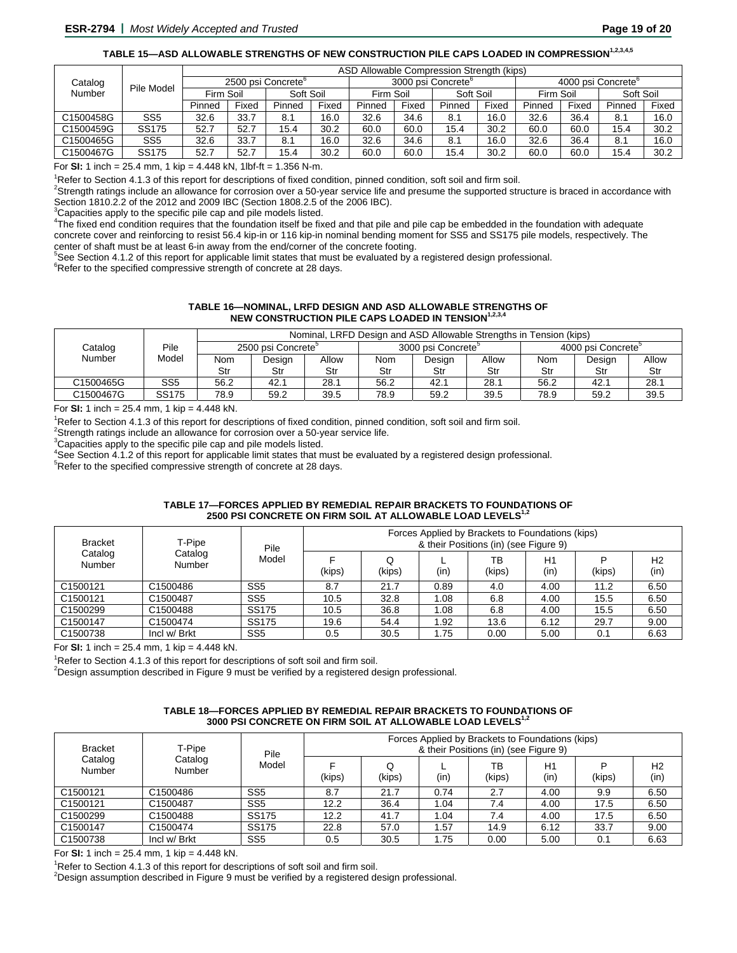# TABLE 15-ASD ALLOWABLE STRENGTHS OF NEW CONSTRUCTION PILE CAPS LOADED IN COMPRESSION<sup>1,2,3,4,5</sup>

|                                 |                 |           |       |                    |       | ASD Allowable Compression Strength (kips) |       |           |       |                    |       |           |       |
|---------------------------------|-----------------|-----------|-------|--------------------|-------|-------------------------------------------|-------|-----------|-------|--------------------|-------|-----------|-------|
| Catalog<br>Pile Model<br>Number |                 |           |       | 2500 psi Concrete° |       | 3000 psi Concrete°                        |       |           |       | 4000 psi Concrete° |       |           |       |
|                                 |                 | Firm Soil |       | Soft Soil          |       | Firm Soil                                 |       | Soft Soil |       | Firm Soil          |       | Soft Soil |       |
|                                 |                 | Pinned    | Fixed | Pinned             | Fixed | Pinned                                    | Fixed | Pinned    | Fixed | Pinned             | Fixed | Pinned    | Fixed |
| C1500458G                       | SS <sub>5</sub> | 32.6      | 33.7  | 8.1                | 16.0  | 32.6                                      | 34.6  | 8.1       | 16.0  | 32.6               | 36.4  | 8.1       | 16.0  |
| C1500459G                       | <b>SS175</b>    | 52.7      | 52.7  | 15.4               | 30.2  | 60.0                                      | 60.0  | 15.4      | 30.2  | 60.0               | 60.0  | 15.4      | 30.2  |
| C1500465G                       | SS5             | 32.6      | 33.7  | 8.1                | 16.0  | 32.6                                      | 34.6  | 8.1       | 16.0  | 32.6               | 36.4  | 8.1       | 16.0  |
| C1500467G                       | <b>SS175</b>    | 52.7      | 52.7  | 15.4               | 30.2  | 60.0                                      | 60.0  | 15.4      | 30.2  | 60.0               | 60.0  | 15.4      | 30.2  |

For **SI:** 1 inch = 25.4 mm, 1 kip = 4.448 kN, 1lbf-ft = 1.356 N-m. 1

<sup>1</sup>Refer to Section 4.1.3 of this report for descriptions of fixed condition, pinned condition, soft soil and firm soil.

 ${}^{2}$ Strength ratings include an allowance for corrosion over a 50-year service life and presume the supported structure is braced in accordance with Section 1810.2.2 of the 2012 and 2009 IBC (Section 1808.2.5 of the 2006 IBC).

 $3$ Capacities apply to the specific pile cap and pile models listed.

4 The fixed end condition requires that the foundation itself be fixed and that pile and pile cap be embedded in the foundation with adequate concrete cover and reinforcing to resist 56.4 kip-in or 116 kip-in nominal bending moment for SS5 and SS175 pile models, respectively. The center of shaft must be at least 6-in away from the end/corner of the concrete footing.

<sup>5</sup>See Section 4.1.2 of this report for applicable limit states that must be evaluated by a registered design professional.

 $6$ Refer to the specified compressive strength of concrete at 28 days.

#### **TABLE 16—NOMINAL, LRFD DESIGN AND ASD ALLOWABLE STRENGTHS OF NEW CONSTRUCTION PILE CAPS LOADED IN TENSION<sup>1,2,3,</sup>**

|           | Pile         |                                | Nominal, LRFD Design and ASD Allowable Strengths in Tension (kips) |       |      |                                |       |                                |        |       |  |  |  |
|-----------|--------------|--------------------------------|--------------------------------------------------------------------|-------|------|--------------------------------|-------|--------------------------------|--------|-------|--|--|--|
| Catalog   |              | 2500 psi Concrete <sup>o</sup> |                                                                    |       |      | 3000 psi Concrete <sup>5</sup> |       | 4000 psi Concrete <sup>o</sup> |        |       |  |  |  |
| Number    | Model        | Nom                            | Design                                                             | Allow | Nom  | Design                         | Allow | Nom                            | Design | Allow |  |  |  |
|           |              | Str                            | Str                                                                | Str   | Str  | Str                            | Str   | Str                            | Str    | Str   |  |  |  |
| C1500465G | SS5          | 56.2                           | 42.1                                                               | 28.1  | 56.2 | 42.1                           | 28.1  | 56.2                           | 42.7   | 28.1  |  |  |  |
| C1500467G | <b>SS175</b> | 78.9                           | 59.2                                                               | 39.5  | 78.9 | 59.2                           | 39.5  | 78.9                           | 59.2   | 39.5  |  |  |  |

For **SI:** 1 inch =  $25.4$  mm, 1 kip =  $4.448$  kN.

<sup>1</sup>Refer to Section 4.1.3 of this report for descriptions of fixed condition, pinned condition, soft soil and firm soil.

 $2$ Strength ratings include an allowance for corrosion over a 50-year service life.

**Capacities apply to the specific pile cap and pile models listed.** 

4 See Section 4.1.2 of this report for applicable limit states that must be evaluated by a registered design professional.

<sup>5</sup>Refer to the specified compressive strength of concrete at 28 days.

#### **TABLE 17—FORCES APPLIED BY REMEDIAL REPAIR BRACKETS TO FOUNDATIONS OF 2500 PSI CONCRETE ON FIRM SOIL AT ALLOWABLE LOAD LEVELS1,2**

| <b>Bracket</b>       | T-Pipe            | Pile            | Forces Applied by Brackets to Foundations (kips)<br>& their Positions (in) (see Figure 9) |        |      |              |            |        |                        |  |  |
|----------------------|-------------------|-----------------|-------------------------------------------------------------------------------------------|--------|------|--------------|------------|--------|------------------------|--|--|
| Catalog<br>Number    | Catalog<br>Number | Model           | (kips)                                                                                    | (kips) | (in) | ТB<br>(kips) | H1<br>(in) | (kips) | H <sub>2</sub><br>(in) |  |  |
| C <sub>1500121</sub> | C1500486          | SS <sub>5</sub> | 8.7                                                                                       | 21.7   | 0.89 | 4.0          | 4.00       | 11.2   | 6.50                   |  |  |
| C1500121             | C1500487          | SS <sub>5</sub> | 10.5                                                                                      | 32.8   | 1.08 | 6.8          | 4.00       | 15.5   | 6.50                   |  |  |
| C <sub>1500299</sub> | C1500488          | <b>SS175</b>    | 10.5                                                                                      | 36.8   | 1.08 | 6.8          | 4.00       | 15.5   | 6.50                   |  |  |
| C1500147             | C1500474          | <b>SS175</b>    | 19.6                                                                                      | 54.4   | 1.92 | 13.6         | 6.12       | 29.7   | 9.00                   |  |  |
| C1500738             | Incl w/ Brkt      | SS <sub>5</sub> | 0.5                                                                                       | 30.5   | 75،، | 0.00         | 5.00       | 0.1    | 6.63                   |  |  |

For **SI:** 1 inch =  $25.4$  mm, 1 kip =  $4.448$  kN.

<sup>1</sup>Refer to Section 4.1.3 of this report for descriptions of soft soil and firm soil.

 $2$ Design assumption described in Figure 9 must be verified by a registered design professional.

#### **TABLE 18—FORCES APPLIED BY REMEDIAL REPAIR BRACKETS TO FOUNDATIONS OF 3000 PSI CONCRETE ON FIRM SOIL AT ALLOWABLE LOAD LEVELS1,2**

| <b>Bracket</b><br>Catalog | T-Pipe            | Pile            | Forces Applied by Brackets to Foundations (kips)<br>& their Positions (in) (see Figure 9) |             |      |              |            |        |                        |  |  |
|---------------------------|-------------------|-----------------|-------------------------------------------------------------------------------------------|-------------|------|--------------|------------|--------|------------------------|--|--|
| Number                    | Catalog<br>Number | Model           | (kips)                                                                                    | Q<br>(kips) | (in) | ТB<br>(kips) | H1<br>(in) | (kips) | H <sub>2</sub><br>(in) |  |  |
| C1500121                  | C1500486          | SS <sub>5</sub> | 8.7                                                                                       | 21.7        | 0.74 | 2.7          | 4.00       | 9.9    | 6.50                   |  |  |
| C1500121                  | C1500487          | SS <sub>5</sub> | 12.2                                                                                      | 36.4        | 1.04 | 7.4          | 4.00       | 17.5   | 6.50                   |  |  |
| C1500299                  | C1500488          | <b>SS175</b>    | 12.2                                                                                      | 41.7        | 1.04 | 7.4          | 4.00       | 17.5   | 6.50                   |  |  |
| C1500147                  | C1500474          | <b>SS175</b>    | 22.8                                                                                      | 57.0        | . 57 | 14.9         | 6.12       | 33.7   | 9.00                   |  |  |
| C1500738                  | Incl w/ Brkt      | SS <sub>5</sub> | 0.5                                                                                       | 30.5        | 1.75 | 0.00         | 5.00       | 0.1    | 6.63                   |  |  |

For **SI:** 1 inch =  $25.4$  mm, 1 kip =  $4.448$  kN.

<sup>1</sup>Refer to Section 4.1.3 of this report for descriptions of soft soil and firm soil.

 $2$ Design assumption described in Figure 9 must be verified by a registered design professional.